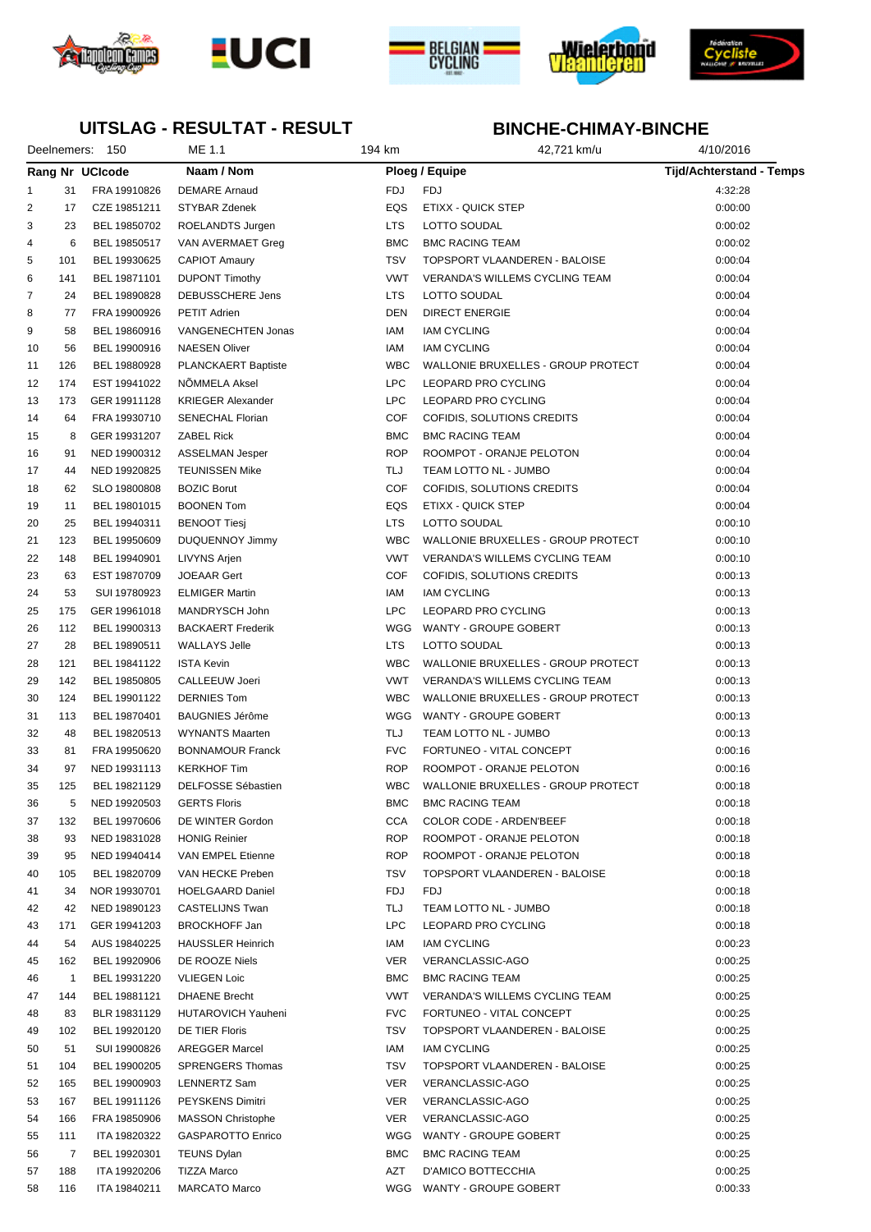









## **UITSLAG - RESULTAT - RESULT**

|                |              | Deelnemers: 150 | ME 1.1                   | 194 km     | 42,721 km/u                           | 4/10/2016                       |  |
|----------------|--------------|-----------------|--------------------------|------------|---------------------------------------|---------------------------------|--|
|                |              | Rang Nr UCIcode | Naam / Nom               |            | Ploeg / Equipe                        | <b>Tijd/Achterstand - Temps</b> |  |
| 1              | 31           | FRA 19910826    | <b>DEMARE Arnaud</b>     | <b>FDJ</b> | <b>FDJ</b>                            | 4:32:28                         |  |
| $\overline{2}$ | 17           | CZE 19851211    | <b>STYBAR Zdenek</b>     | EQS        | ETIXX - QUICK STEP                    | 0:00:00                         |  |
| 3              | 23           | BEL 19850702    | ROELANDTS Jurgen         | <b>LTS</b> | LOTTO SOUDAL                          | 0:00:02                         |  |
| 4              | 6            | BEL 19850517    | VAN AVERMAET Greg        | <b>BMC</b> | <b>BMC RACING TEAM</b>                | 0:00:02                         |  |
| 5              | 101          | BEL 19930625    | <b>CAPIOT Amaury</b>     | <b>TSV</b> | TOPSPORT VLAANDEREN - BALOISE         | 0:00:04                         |  |
| 6              | 141          | BEL 19871101    | <b>DUPONT Timothy</b>    | <b>VWT</b> | VERANDA'S WILLEMS CYCLING TEAM        | 0:00:04                         |  |
| $\overline{7}$ | 24           | BEL 19890828    | DEBUSSCHERE Jens         | <b>LTS</b> | LOTTO SOUDAL                          | 0:00:04                         |  |
| 8              | 77           | FRA 19900926    | <b>PETIT Adrien</b>      | <b>DEN</b> | <b>DIRECT ENERGIE</b>                 | 0:00:04                         |  |
| 9              | 58           | BEL 19860916    | VANGENECHTEN Jonas       | IAM        | <b>IAM CYCLING</b>                    | 0:00:04                         |  |
| 10             | 56           | BEL 19900916    | <b>NAESEN Oliver</b>     | IAM        | <b>IAM CYCLING</b>                    | 0:00:04                         |  |
| 11             | 126          | BEL 19880928    | PLANCKAERT Baptiste      | <b>WBC</b> | WALLONIE BRUXELLES - GROUP PROTECT    | 0:00:04                         |  |
| 12             | 174          | EST 19941022    | NÖMMELA Aksel            | <b>LPC</b> | LEOPARD PRO CYCLING                   | 0:00:04                         |  |
| 13             | 173          | GER 19911128    | <b>KRIEGER Alexander</b> | <b>LPC</b> | LEOPARD PRO CYCLING                   | 0:00:04                         |  |
| 14             | 64           | FRA 19930710    | <b>SENECHAL Florian</b>  | <b>COF</b> | COFIDIS, SOLUTIONS CREDITS            | 0:00:04                         |  |
| 15             | 8            | GER 19931207    | <b>ZABEL Rick</b>        | <b>BMC</b> | <b>BMC RACING TEAM</b>                | 0:00:04                         |  |
| 16             | 91           | NED 19900312    | ASSELMAN Jesper          | <b>ROP</b> | ROOMPOT - ORANJE PELOTON              | 0:00:04                         |  |
| 17             | 44           | NED 19920825    | <b>TEUNISSEN Mike</b>    | TLJ        | TEAM LOTTO NL - JUMBO                 | 0:00:04                         |  |
| 18             | 62           | SLO 19800808    | <b>BOZIC Borut</b>       | <b>COF</b> | COFIDIS, SOLUTIONS CREDITS            | 0:00:04                         |  |
| 19             | 11           | BEL 19801015    | <b>BOONEN Tom</b>        | EQS        | ETIXX - QUICK STEP                    | 0:00:04                         |  |
| 20             | 25           | BEL 19940311    | <b>BENOOT Tiesj</b>      | <b>LTS</b> | LOTTO SOUDAL                          | 0:00:10                         |  |
| 21             | 123          | BEL 19950609    | <b>DUQUENNOY Jimmy</b>   | <b>WBC</b> | WALLONIE BRUXELLES - GROUP PROTECT    | 0:00:10                         |  |
| 22             | 148          | BEL 19940901    | LIVYNS Arjen             | <b>VWT</b> | VERANDA'S WILLEMS CYCLING TEAM        | 0:00:10                         |  |
| 23             | 63           | EST 19870709    | <b>JOEAAR Gert</b>       | COF        | COFIDIS, SOLUTIONS CREDITS            | 0:00:13                         |  |
| 24             | 53           | SUI 19780923    | <b>ELMIGER Martin</b>    | IAM        | <b>IAM CYCLING</b>                    | 0:00:13                         |  |
| 25             | 175          | GER 19961018    | MANDRYSCH John           | <b>LPC</b> | LEOPARD PRO CYCLING                   | 0:00:13                         |  |
| 26             | 112          | BEL 19900313    | <b>BACKAERT Frederik</b> | WGG        | WANTY - GROUPE GOBERT                 | 0:00:13                         |  |
| 27             | 28           | BEL 19890511    | <b>WALLAYS Jelle</b>     | <b>LTS</b> | LOTTO SOUDAL                          | 0:00:13                         |  |
| 28             | 121          | BEL 19841122    | <b>ISTA Kevin</b>        | <b>WBC</b> | WALLONIE BRUXELLES - GROUP PROTECT    | 0:00:13                         |  |
| 29             | 142          | BEL 19850805    | <b>CALLEEUW Joeri</b>    | <b>VWT</b> | <b>VERANDA'S WILLEMS CYCLING TEAM</b> | 0:00:13                         |  |
| 30             | 124          | BEL 19901122    | <b>DERNIES Tom</b>       | <b>WBC</b> | WALLONIE BRUXELLES - GROUP PROTECT    | 0:00:13                         |  |
| 31             | 113          | BEL 19870401    | <b>BAUGNIES Jérôme</b>   | WGG        | WANTY - GROUPE GOBERT                 | 0:00:13                         |  |
| 32             | 48           | BEL 19820513    | <b>WYNANTS Maarten</b>   | TLJ        | TEAM LOTTO NL - JUMBO                 | 0:00:13                         |  |
| 33             | 81           | FRA 19950620    | <b>BONNAMOUR Franck</b>  | <b>FVC</b> | FORTUNEO - VITAL CONCEPT              | 0:00:16                         |  |
| 34             | 97           | NED 19931113    | <b>KERKHOF Tim</b>       | <b>ROP</b> | ROOMPOT - ORANJE PELOTON              | 0:00:16                         |  |
| 35             | 125          | BEL 19821129    | DELFOSSE Sébastien       | <b>WBC</b> | WALLONIE BRUXELLES - GROUP PROTECT    | 0:00:18                         |  |
| 36             | 5            | NED 19920503    | <b>GERTS Floris</b>      | BMC        | <b>BMC RACING TEAM</b>                | 0:00:18                         |  |
| 37             | 132          | BEL 19970606    | DE WINTER Gordon         | CCA        | COLOR CODE - ARDEN'BEEF               | 0:00:18                         |  |
| 38             | 93           | NED 19831028    | <b>HONIG Reinier</b>     | <b>ROP</b> | ROOMPOT - ORANJE PELOTON              | 0:00:18                         |  |
| 39             | 95           | NED 19940414    | VAN EMPEL Etienne        | <b>ROP</b> | ROOMPOT - ORANJE PELOTON              | 0:00:18                         |  |
| 40             | 105          | BEL 19820709    | VAN HECKE Preben         | TSV        | TOPSPORT VLAANDEREN - BALOISE         | 0:00:18                         |  |
| 41             | 34           | NOR 19930701    | <b>HOELGAARD Daniel</b>  | FDJ        | <b>FDJ</b>                            | 0:00:18                         |  |
| 42             | 42           | NED 19890123    | CASTELIJNS Twan          | TLJ        | TEAM LOTTO NL - JUMBO                 | 0:00:18                         |  |
| 43             | 171          | GER 19941203    | <b>BROCKHOFF Jan</b>     | <b>LPC</b> | LEOPARD PRO CYCLING                   | 0:00:18                         |  |
| 44             | 54           | AUS 19840225    | <b>HAUSSLER Heinrich</b> | IAM        | <b>IAM CYCLING</b>                    | 0:00:23                         |  |
| 45             | 162          | BEL 19920906    | DE ROOZE Niels           | VER        | VERANCLASSIC-AGO                      | 0:00:25                         |  |
| 46             | $\mathbf{1}$ | BEL 19931220    | <b>VLIEGEN Loic</b>      | <b>BMC</b> | <b>BMC RACING TEAM</b>                | 0:00:25                         |  |
| 47             | 144          | BEL 19881121    | <b>DHAENE Brecht</b>     | VWT        | VERANDA'S WILLEMS CYCLING TEAM        | 0:00:25                         |  |
| 48             | 83           | BLR 19831129    | HUTAROVICH Yauheni       | <b>FVC</b> | FORTUNEO - VITAL CONCEPT              | 0:00:25                         |  |
| 49             | 102          | BEL 19920120    | DE TIER Floris           | TSV        | TOPSPORT VLAANDEREN - BALOISE         | 0:00:25                         |  |
| 50             | 51           | SUI 19900826    | <b>AREGGER Marcel</b>    | IAM        | <b>IAM CYCLING</b>                    | 0:00:25                         |  |
| 51             | 104          | BEL 19900205    | <b>SPRENGERS Thomas</b>  | <b>TSV</b> | TOPSPORT VLAANDEREN - BALOISE         | 0:00:25                         |  |
| 52             | 165          | BEL 19900903    | LENNERTZ Sam             | VER        | VERANCLASSIC-AGO                      | 0:00:25                         |  |
| 53             | 167          | BEL 19911126    | PEYSKENS Dimitri         | VER        | VERANCLASSIC-AGO                      | 0:00:25                         |  |
| 54             | 166          | FRA 19850906    | <b>MASSON Christophe</b> | VER        | VERANCLASSIC-AGO                      | 0:00:25                         |  |
| 55             | 111          | ITA 19820322    | <b>GASPAROTTO Enrico</b> | WGG        | WANTY - GROUPE GOBERT                 | 0:00:25                         |  |
| 56             | -7           | BEL 19920301    | <b>TEUNS Dylan</b>       | <b>BMC</b> | <b>BMC RACING TEAM</b>                | 0:00:25                         |  |
| 57             | 188          | ITA 19920206    | <b>TIZZA Marco</b>       | AZT        | D'AMICO BOTTECCHIA                    | 0:00:25                         |  |
| 58             | 116          | ITA 19840211    | <b>MARCATO Marco</b>     | WGG        | WANTY - GROUPE GOBERT                 | 0:00:33                         |  |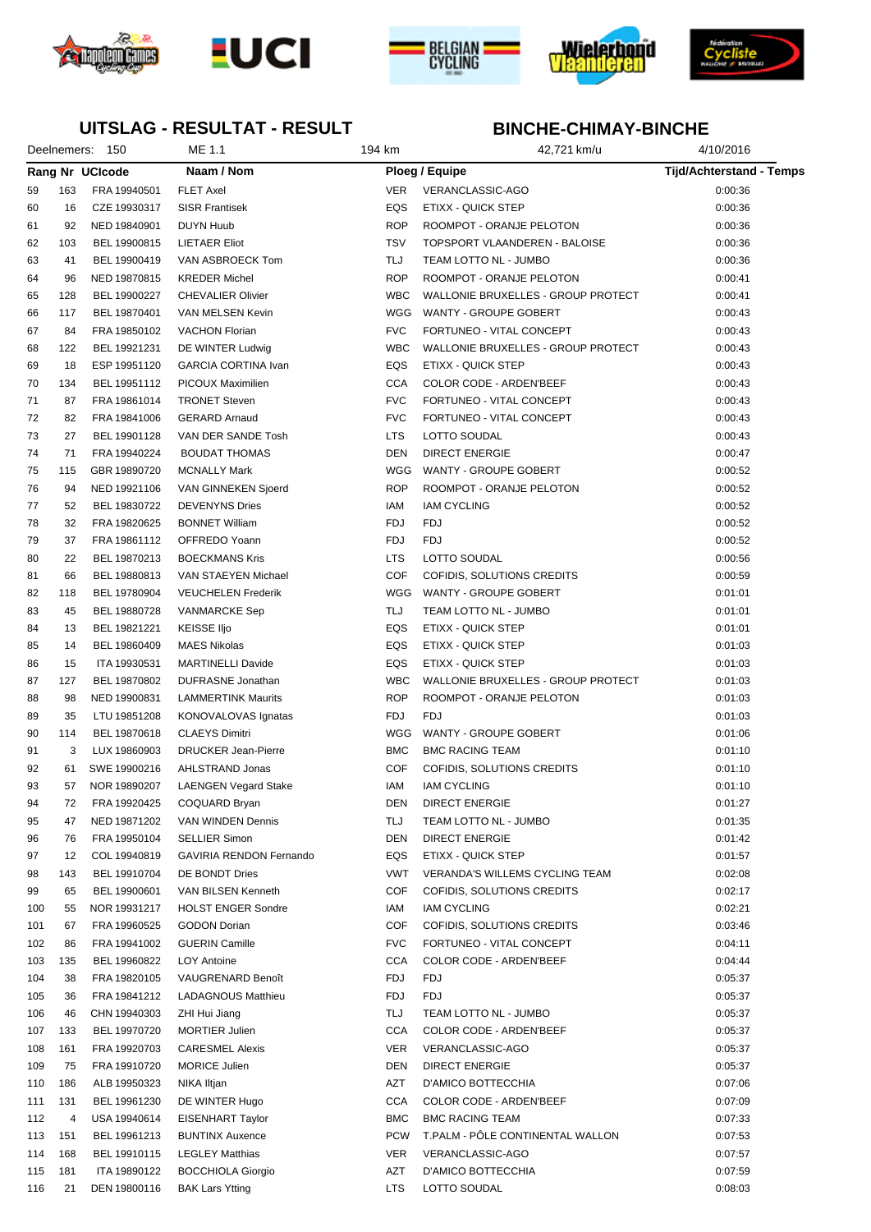









## **UITSLAG - RESULTAT - RESULT**

|     |     | Deelnemers: 150 | ME 1.1                      | 194 km     | 42,721 km/u                        | 4/10/2016                       |
|-----|-----|-----------------|-----------------------------|------------|------------------------------------|---------------------------------|
|     |     | Rang Nr UCIcode | Naam / Nom                  |            | Ploeg / Equipe                     | <b>Tijd/Achterstand - Temps</b> |
| 59  | 163 | FRA 19940501    | <b>FLET Axel</b>            | VER        | VERANCLASSIC-AGO                   | 0:00:36                         |
| 60  | 16  | CZE 19930317    | <b>SISR Frantisek</b>       | EQS        | ETIXX - QUICK STEP                 | 0:00:36                         |
| 61  | 92  | NED 19840901    | <b>DUYN Huub</b>            | <b>ROP</b> | ROOMPOT - ORANJE PELOTON           | 0:00:36                         |
| 62  | 103 | BEL 19900815    | <b>LIETAER Eliot</b>        | <b>TSV</b> | TOPSPORT VLAANDEREN - BALOISE      | 0:00:36                         |
| 63  | 41  | BEL 19900419    | VAN ASBROECK Tom            | TLJ        | TEAM LOTTO NL - JUMBO              | 0:00:36                         |
| 64  | 96  | NED 19870815    | <b>KREDER Michel</b>        | <b>ROP</b> | ROOMPOT - ORANJE PELOTON           | 0:00:41                         |
| 65  | 128 | BEL 19900227    | <b>CHEVALIER Olivier</b>    | <b>WBC</b> | WALLONIE BRUXELLES - GROUP PROTECT | 0:00:41                         |
| 66  | 117 | BEL 19870401    | VAN MELSEN Kevin            | WGG        | WANTY - GROUPE GOBERT              | 0:00:43                         |
| 67  | 84  | FRA 19850102    | <b>VACHON Florian</b>       | <b>FVC</b> | FORTUNEO - VITAL CONCEPT           | 0:00:43                         |
| 68  | 122 | BEL 19921231    | DE WINTER Ludwig            | <b>WBC</b> | WALLONIE BRUXELLES - GROUP PROTECT | 0:00:43                         |
| 69  | 18  | ESP 19951120    | <b>GARCIA CORTINA Ivan</b>  | EQS        | ETIXX - QUICK STEP                 | 0:00:43                         |
| 70  | 134 | BEL 19951112    | PICOUX Maximilien           | <b>CCA</b> | COLOR CODE - ARDEN'BEEF            | 0:00:43                         |
| 71  | 87  | FRA 19861014    | <b>TRONET Steven</b>        | <b>FVC</b> | FORTUNEO - VITAL CONCEPT           | 0:00:43                         |
| 72  | 82  | FRA 19841006    | <b>GERARD Arnaud</b>        | <b>FVC</b> | FORTUNEO - VITAL CONCEPT           | 0:00:43                         |
| 73  | 27  | BEL 19901128    | VAN DER SANDE Tosh          | <b>LTS</b> | LOTTO SOUDAL                       | 0:00:43                         |
| 74  | 71  | FRA 19940224    | <b>BOUDAT THOMAS</b>        | <b>DEN</b> | <b>DIRECT ENERGIE</b>              | 0:00:47                         |
| 75  | 115 | GBR 19890720    | <b>MCNALLY Mark</b>         | WGG        | WANTY - GROUPE GOBERT              | 0:00:52                         |
| 76  | 94  | NED 19921106    | VAN GINNEKEN Sjoerd         | <b>ROP</b> | ROOMPOT - ORANJE PELOTON           | 0:00:52                         |
| 77  | 52  | BEL 19830722    | <b>DEVENYNS Dries</b>       | IAM        | <b>IAM CYCLING</b>                 | 0:00:52                         |
|     |     |                 |                             |            |                                    |                                 |
| 78  | 32  | FRA 19820625    | <b>BONNET William</b>       | FDJ        | FDJ                                | 0:00:52                         |
| 79  | 37  | FRA 19861112    | OFFREDO Yoann               | <b>FDJ</b> | <b>FDJ</b>                         | 0:00:52                         |
| 80  | 22  | BEL 19870213    | <b>BOECKMANS Kris</b>       | <b>LTS</b> | <b>LOTTO SOUDAL</b>                | 0:00:56                         |
| 81  | 66  | BEL 19880813    | VAN STAEYEN Michael         | <b>COF</b> | COFIDIS, SOLUTIONS CREDITS         | 0:00:59                         |
| 82  | 118 | BEL 19780904    | <b>VEUCHELEN Frederik</b>   | WGG        | WANTY - GROUPE GOBERT              | 0:01:01                         |
| 83  | 45  | BEL 19880728    | VANMARCKE Sep               | TLJ        | TEAM LOTTO NL - JUMBO              | 0:01:01                         |
| 84  | 13  | BEL 19821221    | <b>KEISSE Iljo</b>          | EQS        | ETIXX - QUICK STEP                 | 0:01:01                         |
| 85  | 14  | BEL 19860409    | <b>MAES Nikolas</b>         | EQS        | ETIXX - QUICK STEP                 | 0:01:03                         |
| 86  | 15  | ITA 19930531    | <b>MARTINELLI Davide</b>    | EQS        | ETIXX - QUICK STEP                 | 0:01:03                         |
| 87  | 127 | BEL 19870802    | DUFRASNE Jonathan           | <b>WBC</b> | WALLONIE BRUXELLES - GROUP PROTECT | 0:01:03                         |
| 88  | 98  | NED 19900831    | <b>LAMMERTINK Maurits</b>   | <b>ROP</b> | ROOMPOT - ORANJE PELOTON           | 0:01:03                         |
| 89  | 35  | LTU 19851208    | KONOVALOVAS Ignatas         | FDJ        | <b>FDJ</b>                         | 0:01:03                         |
| 90  | 114 | BEL 19870618    | <b>CLAEYS Dimitri</b>       | WGG        | WANTY - GROUPE GOBERT              | 0:01:06                         |
| 91  | 3   | LUX 19860903    | <b>DRUCKER Jean-Pierre</b>  | <b>BMC</b> | <b>BMC RACING TEAM</b>             | 0:01:10                         |
| 92  | 61  | SWE 19900216    | AHLSTRAND Jonas             | COF        | COFIDIS, SOLUTIONS CREDITS         | 0:01:10                         |
| 93  | 57  | NOR 19890207    | <b>LAENGEN Vegard Stake</b> | IAM        | <b>IAM CYCLING</b>                 | 0:01:10                         |
| 94  | 72  | FRA 19920425    | COQUARD Bryan               | DEN        | DIRECT ENERGIE                     | 0:01:27                         |
| 95  | 47  | NED 19871202    | VAN WINDEN Dennis           | TLJ        | TEAM LOTTO NL - JUMBO              | 0:01:35                         |
| 96  | 76  | FRA 19950104    | <b>SELLIER Simon</b>        | DEN        | <b>DIRECT ENERGIE</b>              | 0:01:42                         |
| 97  | 12  | COL 19940819    | GAVIRIA RENDON Fernando     | EQS        | ETIXX - QUICK STEP                 | 0:01:57                         |
| 98  | 143 | BEL 19910704    | DE BONDT Dries              | VWT        | VERANDA'S WILLEMS CYCLING TEAM     | 0:02:08                         |
| 99  | 65  | BEL 19900601    | VAN BILSEN Kenneth          | COF        | COFIDIS, SOLUTIONS CREDITS         | 0:02:17                         |
| 100 | 55  | NOR 19931217    | <b>HOLST ENGER Sondre</b>   | IAM        | <b>IAM CYCLING</b>                 | 0:02:21                         |
| 101 | 67  | FRA 19960525    | <b>GODON Dorian</b>         | COF        | COFIDIS, SOLUTIONS CREDITS         | 0:03:46                         |
| 102 | 86  | FRA 19941002    | <b>GUERIN Camille</b>       | <b>FVC</b> | FORTUNEO - VITAL CONCEPT           | 0:04:11                         |
| 103 | 135 | BEL 19960822    | LOY Antoine                 | <b>CCA</b> | COLOR CODE - ARDEN'BEEF            | 0:04:44                         |
| 104 | 38  | FRA 19820105    | VAUGRENARD Benoît           | FDJ        | FDJ                                | 0:05:37                         |
| 105 | 36  | FRA 19841212    | <b>LADAGNOUS Matthieu</b>   | FDJ        | FDJ                                | 0:05:37                         |
| 106 | 46  | CHN 19940303    | ZHI Hui Jiang               | TLJ        | TEAM LOTTO NL - JUMBO              | 0:05:37                         |
| 107 | 133 | BEL 19970720    | <b>MORTIER Julien</b>       | CCA        | COLOR CODE - ARDEN'BEEF            | 0:05:37                         |
| 108 | 161 | FRA 19920703    | <b>CARESMEL Alexis</b>      | VER        | VERANCLASSIC-AGO                   | 0:05:37                         |
| 109 | 75  | FRA 19910720    | <b>MORICE Julien</b>        | DEN        | DIRECT ENERGIE                     | 0:05:37                         |
| 110 | 186 | ALB 19950323    | NIKA Iltjan                 | AZT        | D'AMICO BOTTECCHIA                 | 0:07:06                         |
| 111 | 131 | BEL 19961230    | DE WINTER Hugo              | CCA        | COLOR CODE - ARDEN'BEEF            | 0:07:09                         |
| 112 | 4   | USA 19940614    | EISENHART Taylor            | <b>BMC</b> | <b>BMC RACING TEAM</b>             | 0:07:33                         |
| 113 | 151 | BEL 19961213    | <b>BUNTINX Auxence</b>      | <b>PCW</b> | T.PALM - PÔLE CONTINENTAL WALLON   | 0:07:53                         |
| 114 | 168 | BEL 19910115    | <b>LEGLEY Matthias</b>      | VER        | VERANCLASSIC-AGO                   | 0:07:57                         |
| 115 | 181 | ITA 19890122    | <b>BOCCHIOLA Giorgio</b>    | AZT        | D'AMICO BOTTECCHIA                 | 0:07:59                         |
| 116 | 21  | DEN 19800116    | <b>BAK Lars Ytting</b>      | LTS        | LOTTO SOUDAL                       | 0:08:03                         |
|     |     |                 |                             |            |                                    |                                 |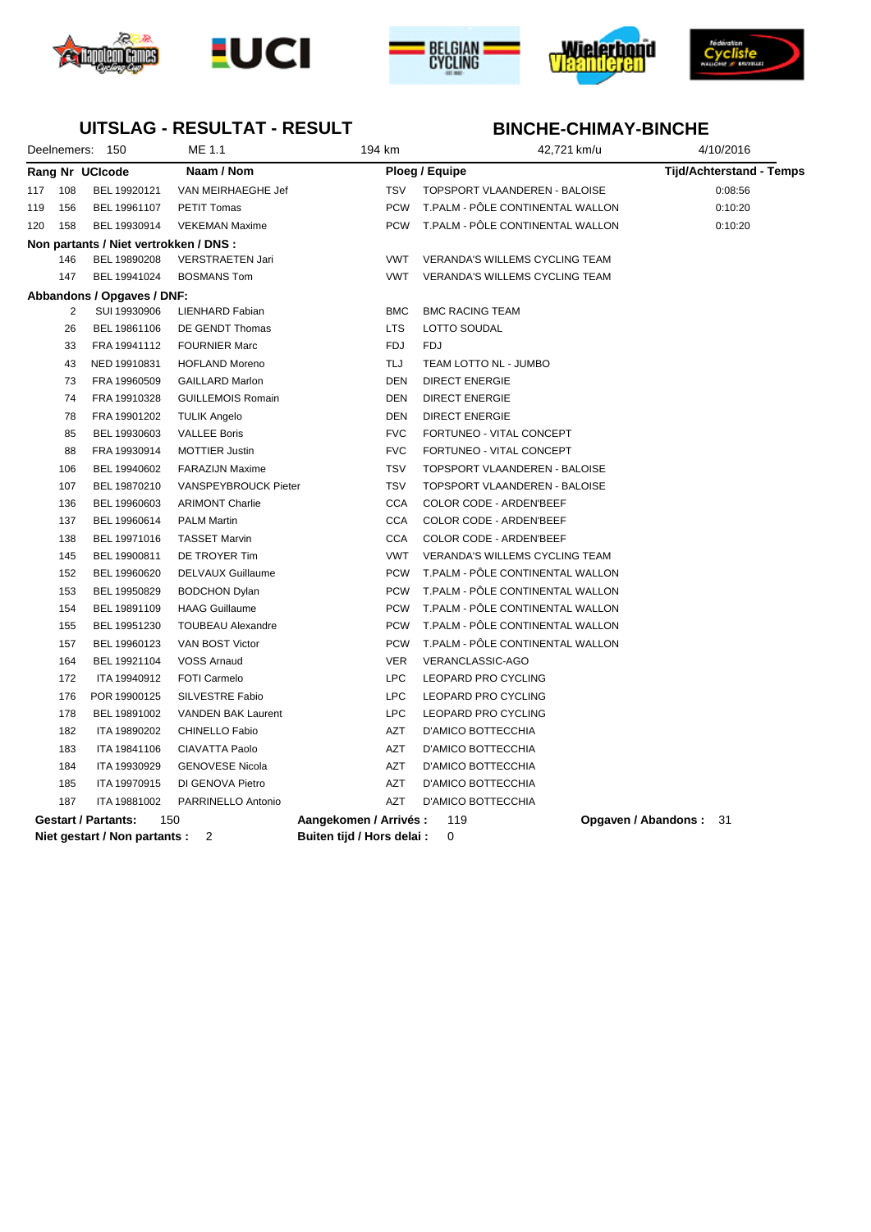









### **UITSLAG - RESULTAT - RESULT**

|                 | Deelnemers: 150                        | ME 1.1                      | 194 km                     | 42,721 km/u                           | 4/10/2016                       |
|-----------------|----------------------------------------|-----------------------------|----------------------------|---------------------------------------|---------------------------------|
| Rang Nr UCIcode |                                        | Naam / Nom                  |                            | Ploeg / Equipe                        | <b>Tijd/Achterstand - Temps</b> |
| 108<br>117      | BEL 19920121                           | VAN MEIRHAEGHE Jef          | <b>TSV</b>                 | TOPSPORT VLAANDEREN - BALOISE         | 0:08:56                         |
| 156<br>119      | BEL 19961107                           | <b>PETIT Tomas</b>          | <b>PCW</b>                 | T.PALM - PÔLE CONTINENTAL WALLON      | 0:10:20                         |
| 120<br>158      | BEL 19930914                           | <b>VEKEMAN Maxime</b>       | <b>PCW</b>                 | T.PALM - PÔLE CONTINENTAL WALLON      | 0:10:20                         |
|                 | Non partants / Niet vertrokken / DNS : |                             |                            |                                       |                                 |
| 146             | BEL 19890208                           | <b>VERSTRAETEN Jari</b>     | <b>VWT</b>                 | <b>VERANDA'S WILLEMS CYCLING TEAM</b> |                                 |
| 147             | BEL 19941024                           | <b>BOSMANS Tom</b>          | <b>VWT</b>                 | <b>VERANDA'S WILLEMS CYCLING TEAM</b> |                                 |
|                 | Abbandons / Opgaves / DNF:             |                             |                            |                                       |                                 |
| $\overline{2}$  | SUI 19930906                           | LIENHARD Fabian             | <b>BMC</b>                 | <b>BMC RACING TEAM</b>                |                                 |
| 26              | BEL 19861106                           | DE GENDT Thomas             | <b>LTS</b>                 | LOTTO SOUDAL                          |                                 |
| 33              | FRA 19941112                           | <b>FOURNIER Marc</b>        | <b>FDJ</b>                 | <b>FDJ</b>                            |                                 |
| 43              | NED 19910831                           | <b>HOFLAND Moreno</b>       | TLJ                        | TEAM LOTTO NL - JUMBO                 |                                 |
| 73              | FRA 19960509                           | <b>GAILLARD Marlon</b>      | <b>DEN</b>                 | <b>DIRECT ENERGIE</b>                 |                                 |
| 74              | FRA 19910328                           | <b>GUILLEMOIS Romain</b>    | <b>DEN</b>                 | <b>DIRECT ENERGIE</b>                 |                                 |
| 78              | FRA 19901202                           | <b>TULIK Angelo</b>         | <b>DEN</b>                 | <b>DIRECT ENERGIE</b>                 |                                 |
| 85              | BEL 19930603                           | <b>VALLEE Boris</b>         | <b>FVC</b>                 | FORTUNEO - VITAL CONCEPT              |                                 |
| 88              | FRA 19930914                           | <b>MOTTIER Justin</b>       | <b>FVC</b>                 | FORTUNEO - VITAL CONCEPT              |                                 |
| 106             | BEL 19940602                           | <b>FARAZIJN Maxime</b>      | <b>TSV</b>                 | TOPSPORT VLAANDEREN - BALOISE         |                                 |
| 107             | BEL 19870210                           | <b>VANSPEYBROUCK Pieter</b> | <b>TSV</b>                 | TOPSPORT VLAANDEREN - BALOISE         |                                 |
| 136             | BEL 19960603                           | <b>ARIMONT Charlie</b>      | <b>CCA</b>                 | COLOR CODE - ARDEN'BEEF               |                                 |
| 137             | BEL 19960614                           | <b>PALM Martin</b>          | <b>CCA</b>                 | COLOR CODE - ARDEN'BEEF               |                                 |
| 138             | BEL 19971016                           | <b>TASSET Marvin</b>        | <b>CCA</b>                 | COLOR CODE - ARDEN'BEEF               |                                 |
| 145             | BEL 19900811                           | DE TROYER Tim               | <b>VWT</b>                 | <b>VERANDA'S WILLEMS CYCLING TEAM</b> |                                 |
| 152             | BEL 19960620                           | DELVAUX Guillaume           | <b>PCW</b>                 | T.PALM - PÔLE CONTINENTAL WALLON      |                                 |
| 153             | BEL 19950829                           | <b>BODCHON Dylan</b>        | <b>PCW</b>                 | T.PALM - PÔLE CONTINENTAL WALLON      |                                 |
| 154             | BEL 19891109                           | <b>HAAG Guillaume</b>       | <b>PCW</b>                 | T.PALM - PÔLE CONTINENTAL WALLON      |                                 |
| 155             | BEL 19951230                           | <b>TOUBEAU Alexandre</b>    | <b>PCW</b>                 | T.PALM - PÔLE CONTINENTAL WALLON      |                                 |
| 157             | BEL 19960123                           | VAN BOST Victor             | <b>PCW</b>                 | T.PALM - PÖLE CONTINENTAL WALLON      |                                 |
| 164             | BEL 19921104                           | <b>VOSS Arnaud</b>          | <b>VER</b>                 | VERANCLASSIC-AGO                      |                                 |
| 172             | ITA 19940912                           | FOTI Carmelo                | <b>LPC</b>                 | LEOPARD PRO CYCLING                   |                                 |
| 176             | POR 19900125                           | SILVESTRE Fabio             | <b>LPC</b>                 | LEOPARD PRO CYCLING                   |                                 |
| 178             | BEL 19891002                           | <b>VANDEN BAK Laurent</b>   | <b>LPC</b>                 | LEOPARD PRO CYCLING                   |                                 |
| 182             | ITA 19890202                           | CHINELLO Fabio              | AZT                        | D'AMICO BOTTECCHIA                    |                                 |
| 183             | ITA 19841106                           | CIAVATTA Paolo              | <b>AZT</b>                 | D'AMICO BOTTECCHIA                    |                                 |
| 184             | ITA 19930929                           | <b>GENOVESE Nicola</b>      | AZT                        | D'AMICO BOTTECCHIA                    |                                 |
| 185             | ITA 19970915                           | DI GENOVA Pietro            | AZT                        | D'AMICO BOTTECCHIA                    |                                 |
| 187             | ITA 19881002                           | PARRINELLO Antonio          | <b>AZT</b>                 | <b>D'AMICO BOTTECCHIA</b>             |                                 |
|                 | <b>Gestart / Partants:</b>             | 150                         | Aangekomen / Arrivés :     | 119                                   | <b>Opgaven / Abandons: 31</b>   |
|                 | Niet gestart / Non partants :          | 2                           | Buiten tijd / Hors delai : | 0                                     |                                 |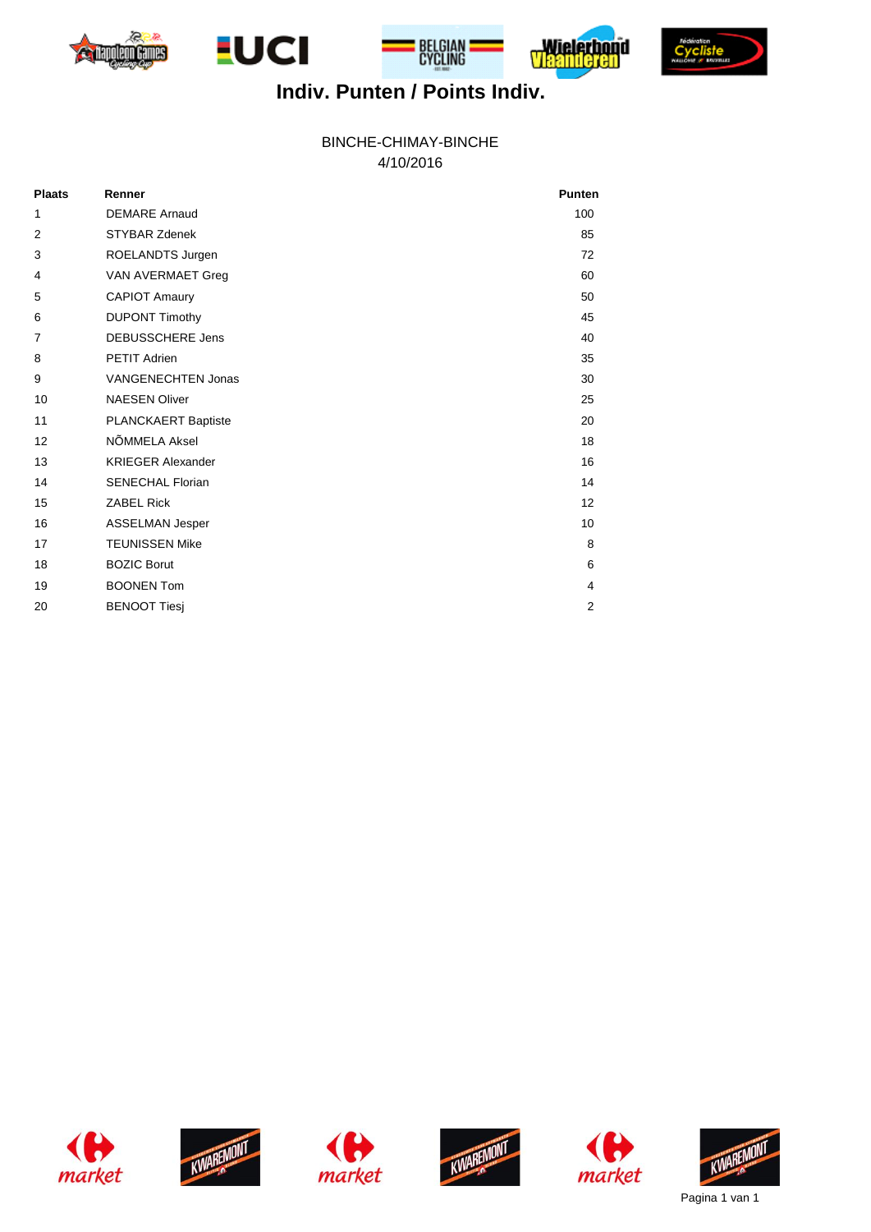







# **Indiv. Punten / Points Indiv.**

4/10/2016 BINCHE-CHIMAY-BINCHE

| <b>Plaats</b>  | Renner                    | <b>Punten</b>  |
|----------------|---------------------------|----------------|
| 1              | <b>DEMARE Arnaud</b>      | 100            |
| 2              | <b>STYBAR Zdenek</b>      | 85             |
| 3              | ROELANDTS Jurgen          | 72             |
| 4              | VAN AVERMAET Greg         | 60             |
| 5              | <b>CAPIOT Amaury</b>      | 50             |
| 6              | <b>DUPONT Timothy</b>     | 45             |
| $\overline{7}$ | <b>DEBUSSCHERE Jens</b>   | 40             |
| 8              | <b>PETIT Adrien</b>       | 35             |
| 9              | <b>VANGENECHTEN Jonas</b> | 30             |
| 10             | <b>NAESEN Oliver</b>      | 25             |
| 11             | PLANCKAERT Baptiste       | 20             |
| 12             | NÕMMELA Aksel             | 18             |
| 13             | <b>KRIEGER Alexander</b>  | 16             |
| 14             | <b>SENECHAL Florian</b>   | 14             |
| 15             | <b>ZABEL Rick</b>         | 12             |
| 16             | <b>ASSELMAN Jesper</b>    | 10             |
| 17             | <b>TEUNISSEN Mike</b>     | 8              |
| 18             | <b>BOZIC Borut</b>        | 6              |
| 19             | <b>BOONEN Tom</b>         | 4              |
| 20             | <b>BENOOT Tiesj</b>       | $\overline{2}$ |













Pagina 1 van 1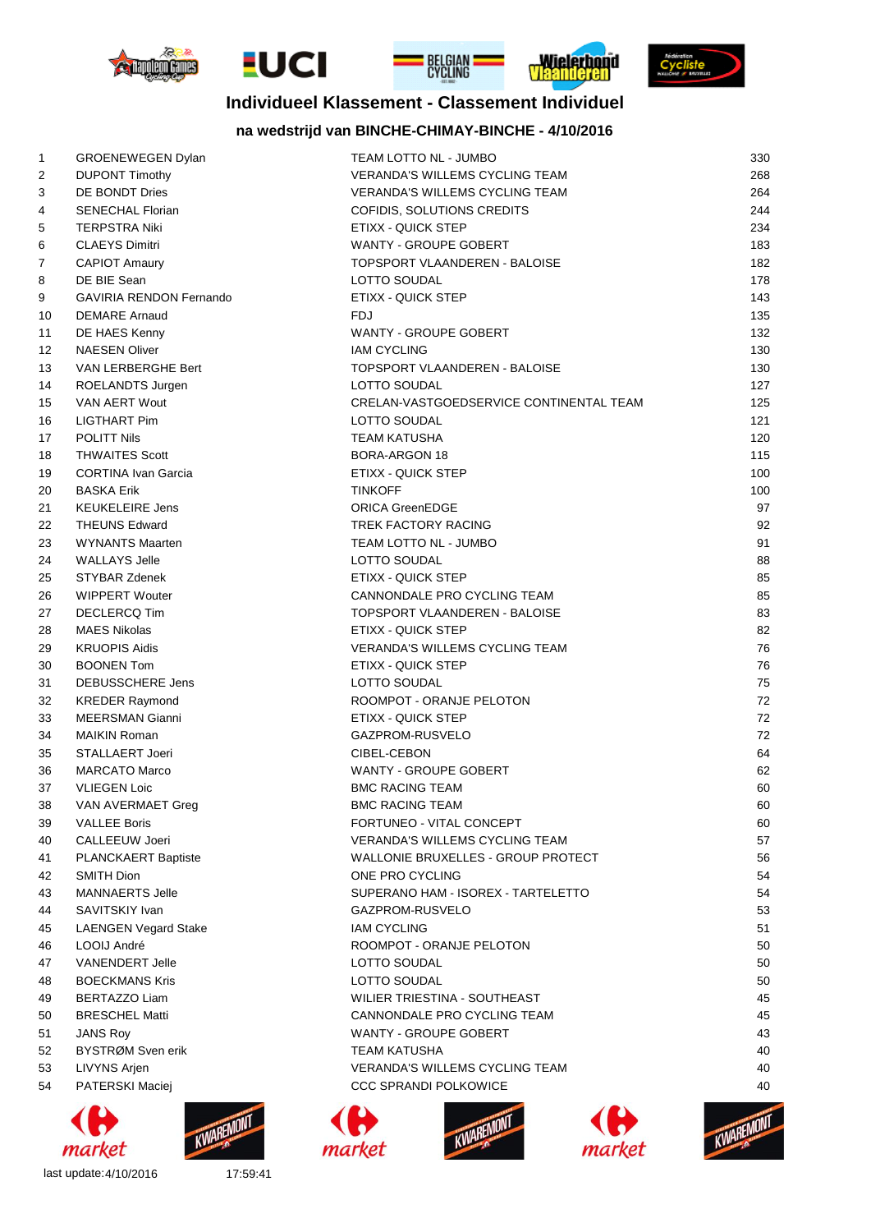







### **Individueel Klassement - Classement Individuel**

### **na wedstrijd van BINCHE-CHIMAY-BINCHE - 4/10/2016**

| $\mathbf{1}$ | <b>GROENEWEGEN Dylan</b>       | TEAM LOTTO NL - JUMBO                   | 330 |
|--------------|--------------------------------|-----------------------------------------|-----|
| 2            | <b>DUPONT Timothy</b>          | <b>VERANDA'S WILLEMS CYCLING TEAM</b>   | 268 |
| 3            | DE BONDT Dries                 | <b>VERANDA'S WILLEMS CYCLING TEAM</b>   | 264 |
| 4            | <b>SENECHAL Florian</b>        | COFIDIS, SOLUTIONS CREDITS              | 244 |
| 5            | <b>TERPSTRA Niki</b>           | ETIXX - QUICK STEP                      | 234 |
| 6            | <b>CLAEYS Dimitri</b>          | <b>WANTY - GROUPE GOBERT</b>            | 183 |
| 7            | <b>CAPIOT Amaury</b>           | TOPSPORT VLAANDEREN - BALOISE           | 182 |
| 8            | DE BIE Sean                    | LOTTO SOUDAL                            | 178 |
| 9            | <b>GAVIRIA RENDON Fernando</b> | ETIXX - QUICK STEP                      | 143 |
| 10           | <b>DEMARE</b> Arnaud           | <b>FDJ</b>                              | 135 |
| 11           | DE HAES Kenny                  | WANTY - GROUPE GOBERT                   | 132 |
| 12           | <b>NAESEN Oliver</b>           | <b>IAM CYCLING</b>                      | 130 |
| 13           | VAN LERBERGHE Bert             | TOPSPORT VLAANDEREN - BALOISE           | 130 |
| 14           | ROELANDTS Jurgen               | LOTTO SOUDAL                            | 127 |
| 15           | VAN AERT Wout                  | CRELAN-VASTGOEDSERVICE CONTINENTAL TEAM | 125 |
| 16           | <b>LIGTHART Pim</b>            | LOTTO SOUDAL                            | 121 |
| 17           | <b>POLITT Nils</b>             | <b>TEAM KATUSHA</b>                     | 120 |
| 18           | <b>THWAITES Scott</b>          | <b>BORA-ARGON 18</b>                    | 115 |
| 19           | <b>CORTINA Ivan Garcia</b>     | ETIXX - QUICK STEP                      | 100 |
| 20           | <b>BASKA Erik</b>              | <b>TINKOFF</b>                          | 100 |
| 21           | <b>KEUKELEIRE Jens</b>         | <b>ORICA GreenEDGE</b>                  | 97  |
| 22           | <b>THEUNS Edward</b>           | TREK FACTORY RACING                     | 92  |
| 23           | <b>WYNANTS Maarten</b>         | TEAM LOTTO NL - JUMBO                   | 91  |
| 24           | <b>WALLAYS Jelle</b>           | LOTTO SOUDAL                            | 88  |
| 25           | <b>STYBAR Zdenek</b>           | ETIXX - QUICK STEP                      | 85  |
| 26           | <b>WIPPERT Wouter</b>          | CANNONDALE PRO CYCLING TEAM             | 85  |
| 27           | <b>DECLERCQ Tim</b>            | TOPSPORT VLAANDEREN - BALOISE           | 83  |
| 28           | <b>MAES Nikolas</b>            | ETIXX - QUICK STEP                      | 82  |
| 29           | <b>KRUOPIS Aidis</b>           | <b>VERANDA'S WILLEMS CYCLING TEAM</b>   | 76  |
| 30           | <b>BOONEN Tom</b>              | ETIXX - QUICK STEP                      | 76  |
| 31           | DEBUSSCHERE Jens               | LOTTO SOUDAL                            | 75  |
| 32           | <b>KREDER Raymond</b>          | ROOMPOT - ORANJE PELOTON                | 72  |
| 33           | <b>MEERSMAN Gianni</b>         | ETIXX - QUICK STEP                      | 72  |
| 34           | <b>MAIKIN Roman</b>            | GAZPROM-RUSVELO                         | 72  |
| 35           | <b>STALLAERT Joeri</b>         | CIBEL-CEBON                             | 64  |
| 36           | <b>MARCATO Marco</b>           | WANTY - GROUPE GOBERT                   | 62  |
| 37           | <b>VLIEGEN Loic</b>            | <b>BMC RACING TEAM</b>                  | 60  |
| 38           | VAN AVERMAET Greg              | <b>BMC RACING TEAM</b>                  | 60  |
| 39           | <b>VALLEE Boris</b>            | FORTUNEO - VITAL CONCEPT                | 60  |
| 40           | CALLEEUW Joeri                 | <b>VERANDA'S WILLEMS CYCLING TEAM</b>   | 57  |
| 41           | <b>PLANCKAERT Baptiste</b>     | WALLONIE BRUXELLES - GROUP PROTECT      | 56  |
| 42           | SMITH Dion                     | ONE PRO CYCLING                         | 54  |
| 43           | <b>MANNAERTS Jelle</b>         | SUPERANO HAM - ISOREX - TARTELETTO      | 54  |
| 44           | SAVITSKIY Ivan                 | GAZPROM-RUSVELO                         | 53  |
| 45           | <b>LAENGEN Vegard Stake</b>    | <b>IAM CYCLING</b>                      | 51  |
| 46           | LOOIJ André                    | ROOMPOT - ORANJE PELOTON                | 50  |
| 47           | <b>VANENDERT Jelle</b>         | LOTTO SOUDAL                            | 50  |
| 48           | <b>BOECKMANS Kris</b>          | LOTTO SOUDAL                            | 50  |
| 49           | BERTAZZO Liam                  | WILIER TRIESTINA - SOUTHEAST            | 45  |
| 50           | <b>BRESCHEL Matti</b>          | CANNONDALE PRO CYCLING TEAM             | 45  |
| 51           | <b>JANS Roy</b>                | WANTY - GROUPE GOBERT                   | 43  |
| 52           | BYSTRØM Sven erik              | TEAM KATUSHA                            | 40  |
| 53           | <b>LIVYNS Arjen</b>            | <b>VERANDA'S WILLEMS CYCLING TEAM</b>   | 40  |
| 54           | PATERSKI Maciej                | <b>CCC SPRANDI POLKOWICE</b>            | 40  |





last update:4/10/2016 17:59:41



market



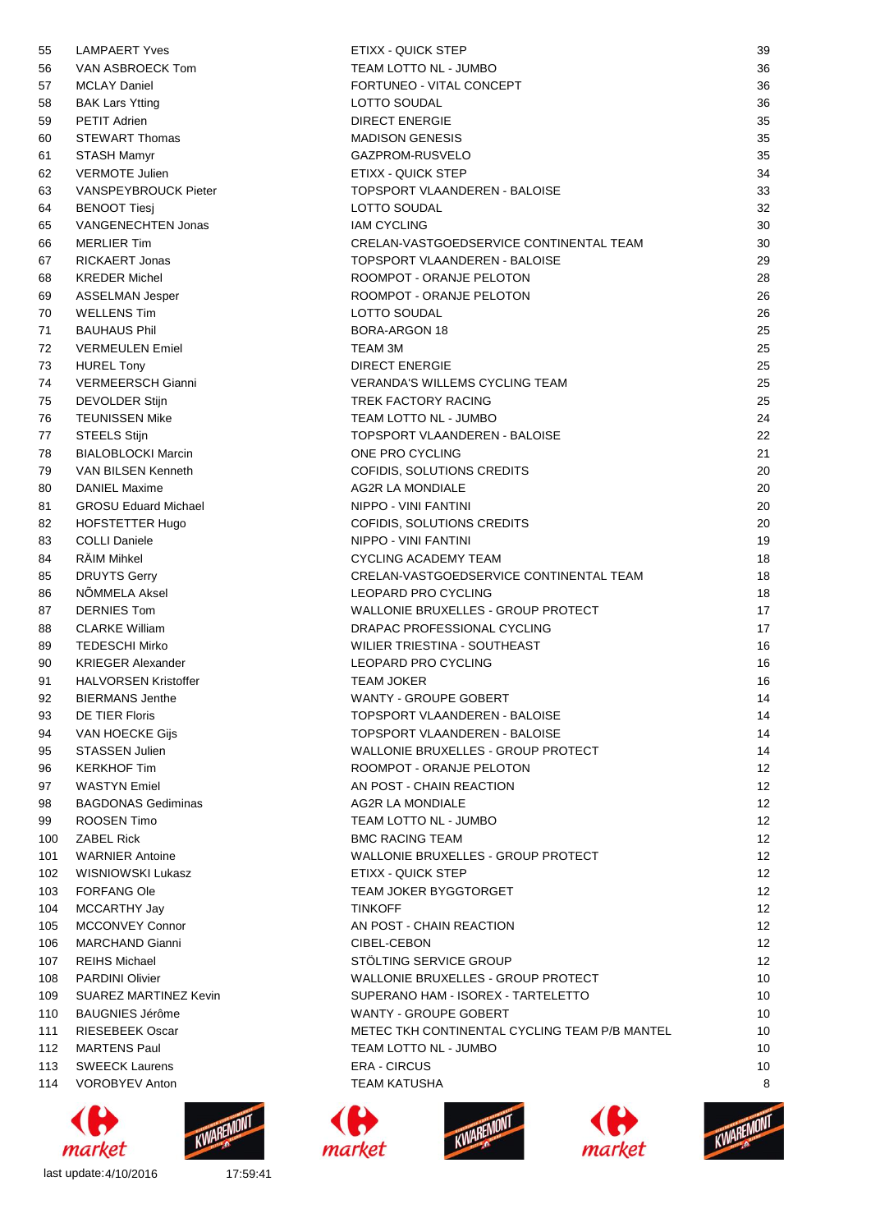| 55  | <b>LAMPAERT Yves</b>        | ETIXX - QUICK STEP                            | 39 |
|-----|-----------------------------|-----------------------------------------------|----|
| 56  | VAN ASBROECK Tom            | TEAM LOTTO NL - JUMBO                         | 36 |
| 57  | <b>MCLAY Daniel</b>         | FORTUNEO - VITAL CONCEPT                      | 36 |
| 58  | <b>BAK Lars Ytting</b>      | LOTTO SOUDAL                                  | 36 |
| 59  | <b>PETIT Adrien</b>         | <b>DIRECT ENERGIE</b>                         | 35 |
| 60  | <b>STEWART Thomas</b>       | <b>MADISON GENESIS</b>                        | 35 |
| 61  | <b>STASH Mamyr</b>          | GAZPROM-RUSVELO                               | 35 |
| 62  | <b>VERMOTE Julien</b>       | ETIXX - QUICK STEP                            | 34 |
| 63  | VANSPEYBROUCK Pieter        | TOPSPORT VLAANDEREN - BALOISE                 | 33 |
| 64  | <b>BENOOT Tiesi</b>         | LOTTO SOUDAL                                  | 32 |
| 65  | VANGENECHTEN Jonas          | <b>IAM CYCLING</b>                            | 30 |
| 66  | <b>MERLIER Tim</b>          | CRELAN-VASTGOEDSERVICE CONTINENTAL TEAM       | 30 |
| 67  | <b>RICKAERT Jonas</b>       | TOPSPORT VLAANDEREN - BALOISE                 | 29 |
| 68  | <b>KREDER Michel</b>        | ROOMPOT - ORANJE PELOTON                      | 28 |
| 69  | <b>ASSELMAN Jesper</b>      | ROOMPOT - ORANJE PELOTON                      | 26 |
| 70  | <b>WELLENS Tim</b>          | LOTTO SOUDAL                                  | 26 |
| 71  | <b>BAUHAUS Phil</b>         | <b>BORA-ARGON 18</b>                          | 25 |
| 72  | <b>VERMEULEN Emiel</b>      | TEAM 3M                                       | 25 |
| 73  | <b>HUREL Tony</b>           | <b>DIRECT ENERGIE</b>                         | 25 |
| 74  | VERMEERSCH Gianni           | <b>VERANDA'S WILLEMS CYCLING TEAM</b>         | 25 |
| 75  | <b>DEVOLDER Stijn</b>       | TREK FACTORY RACING                           | 25 |
| 76  | <b>TEUNISSEN Mike</b>       | TEAM LOTTO NL - JUMBO                         | 24 |
| 77  | <b>STEELS Stijn</b>         | TOPSPORT VLAANDEREN - BALOISE                 | 22 |
| 78  | <b>BIALOBLOCKI Marcin</b>   | ONE PRO CYCLING                               | 21 |
| 79  | VAN BILSEN Kenneth          | COFIDIS, SOLUTIONS CREDITS                    | 20 |
| 80  | <b>DANIEL Maxime</b>        | <b>AG2R LA MONDIALE</b>                       | 20 |
| 81  | <b>GROSU Eduard Michael</b> | NIPPO - VINI FANTINI                          | 20 |
| 82  | HOFSTETTER Hugo             | COFIDIS, SOLUTIONS CREDITS                    | 20 |
| 83  | <b>COLLI Daniele</b>        | NIPPO - VINI FANTINI                          | 19 |
| 84  | <b>RÄIM Mihkel</b>          | CYCLING ACADEMY TEAM                          | 18 |
| 85  | <b>DRUYTS Gerry</b>         | CRELAN-VASTGOEDSERVICE CONTINENTAL TEAM       | 18 |
| 86  | NÕMMELA Aksel               | LEOPARD PRO CYCLING                           | 18 |
| 87  | <b>DERNIES Tom</b>          | WALLONIE BRUXELLES - GROUP PROTECT            | 17 |
| 88  | <b>CLARKE William</b>       | DRAPAC PROFESSIONAL CYCLING                   | 17 |
| 89  | <b>TEDESCHI Mirko</b>       | WILIER TRIESTINA - SOUTHEAST                  | 16 |
| 90  | <b>KRIEGER Alexander</b>    | LEOPARD PRO CYCLING                           | 16 |
| 91  | <b>HALVORSEN Kristoffer</b> | <b>TEAM JOKER</b>                             | 16 |
| 92  | BIFRMANS Jenthe             | WANTY - GROUPE GOBERT                         | 14 |
| 93  | DE TIER Floris              | TOPSPORT VLAANDEREN - BALOISE                 | 14 |
| 94  | VAN HOECKE Gijs             | TOPSPORT VLAANDEREN - BALOISE                 | 14 |
| 95  | <b>STASSEN Julien</b>       | WALLONIE BRUXELLES - GROUP PROTECT            | 14 |
| 96  | <b>KERKHOF Tim</b>          | ROOMPOT - ORANJE PELOTON                      | 12 |
| 97  | <b>WASTYN Emiel</b>         | AN POST - CHAIN REACTION                      | 12 |
| 98  | <b>BAGDONAS Gediminas</b>   | <b>AG2R LA MONDIALE</b>                       | 12 |
| 99  | ROOSEN Timo                 | TEAM LOTTO NL - JUMBO                         | 12 |
| 100 | <b>ZABEL Rick</b>           | <b>BMC RACING TEAM</b>                        | 12 |
| 101 | <b>WARNIER Antoine</b>      | WALLONIE BRUXELLES - GROUP PROTECT            | 12 |
| 102 | WISNIOWSKI Lukasz           | ETIXX - QUICK STEP                            | 12 |
| 103 | <b>FORFANG Ole</b>          | <b>TEAM JOKER BYGGTORGET</b>                  | 12 |
| 104 | MCCARTHY Jay                | <b>TINKOFF</b>                                | 12 |
| 105 | <b>MCCONVEY Connor</b>      | AN POST - CHAIN REACTION                      | 12 |
| 106 | <b>MARCHAND Gianni</b>      | CIBEL-CEBON                                   | 12 |
| 107 | <b>REIHS Michael</b>        | STOLTING SERVICE GROUP                        | 12 |
| 108 | <b>PARDINI Olivier</b>      | WALLONIE BRUXELLES - GROUP PROTECT            | 10 |
| 109 | SUAREZ MARTINEZ Kevin       | SUPERANO HAM - ISOREX - TARTELETTO            | 10 |
| 110 | <b>BAUGNIES Jérôme</b>      | WANTY - GROUPE GOBERT                         | 10 |
| 111 | <b>RIESEBEEK Oscar</b>      | METEC TKH CONTINENTAL CYCLING TEAM P/B MANTEL | 10 |
| 112 | <b>MARTENS Paul</b>         | TEAM LOTTO NL - JUMBO                         | 10 |
| 113 | <b>SWEECK Laurens</b>       | <b>ERA - CIRCUS</b>                           | 10 |
| 114 | <b>VOROBYEV Anton</b>       | TEAM KATUSHA                                  | 8  |
|     |                             |                                               |    |











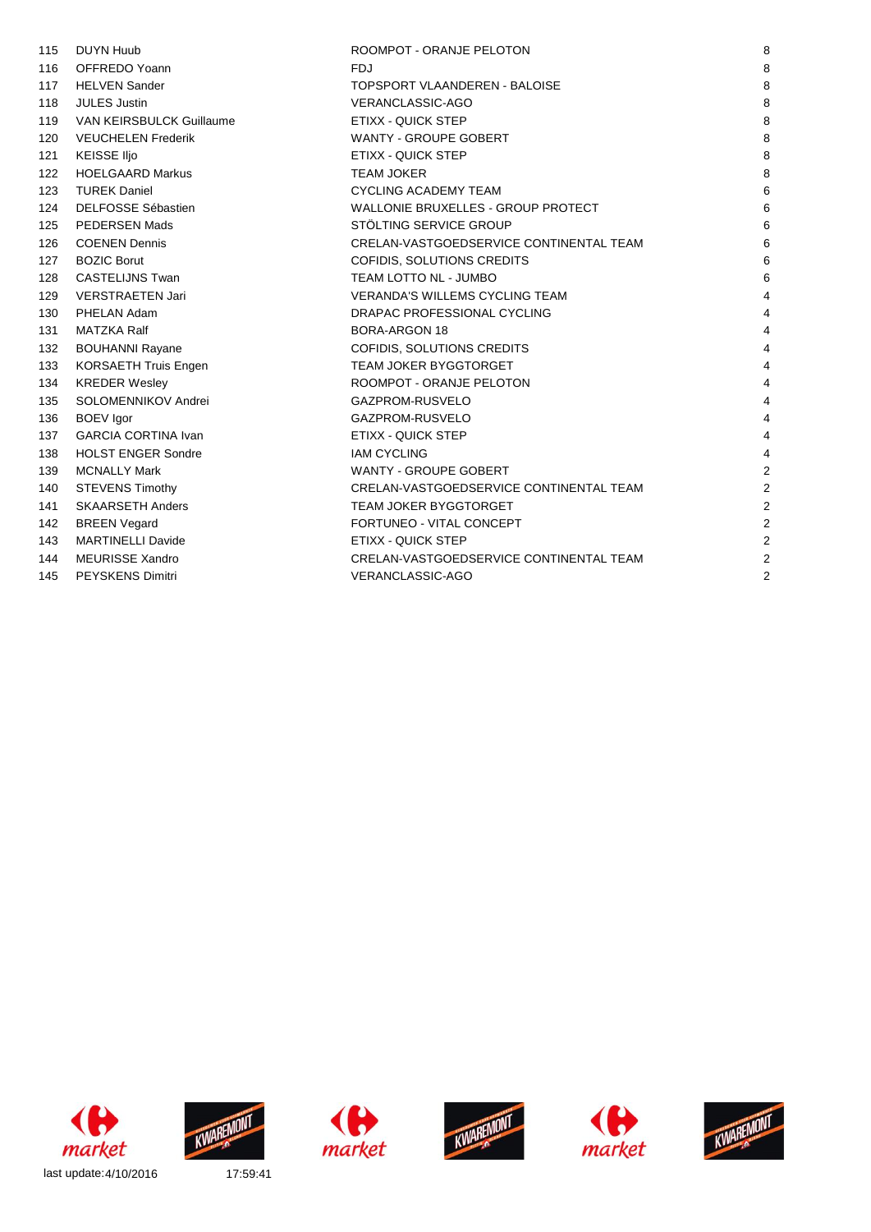| 115 | <b>DUYN Huub</b>                | ROOMPOT - ORANJE PELOTON                  | 8              |
|-----|---------------------------------|-------------------------------------------|----------------|
| 116 | OFFREDO Yoann                   | <b>FDJ</b>                                | 8              |
| 117 | <b>HELVEN Sander</b>            | <b>TOPSPORT VLAANDEREN - BALOISE</b>      | 8              |
| 118 | <b>JULES Justin</b>             | <b>VERANCLASSIC-AGO</b>                   | 8              |
| 119 | <b>VAN KEIRSBULCK Guillaume</b> | <b>ETIXX - QUICK STEP</b>                 | 8              |
| 120 | <b>VEUCHELEN Frederik</b>       | <b>WANTY - GROUPE GOBERT</b>              | 8              |
| 121 | KEISSE IIjo                     | <b>ETIXX - QUICK STEP</b>                 | 8              |
| 122 | <b>HOELGAARD Markus</b>         | <b>TEAM JOKER</b>                         | 8              |
| 123 | <b>TUREK Daniel</b>             | <b>CYCLING ACADEMY TEAM</b>               | 6              |
| 124 | <b>DELFOSSE Sébastien</b>       | <b>WALLONIE BRUXELLES - GROUP PROTECT</b> | 6              |
| 125 | <b>PEDERSEN Mads</b>            | STÖLTING SERVICE GROUP                    | 6              |
| 126 | <b>COENEN Dennis</b>            | CRELAN-VASTGOEDSERVICE CONTINENTAL TEAM   | 6              |
| 127 | <b>BOZIC Borut</b>              | COFIDIS, SOLUTIONS CREDITS                | 6              |
| 128 | <b>CASTELIJNS Twan</b>          | TEAM LOTTO NL - JUMBO                     | 6              |
| 129 | <b>VERSTRAETEN Jari</b>         | <b>VERANDA'S WILLEMS CYCLING TEAM</b>     | 4              |
| 130 | PHELAN Adam                     | DRAPAC PROFESSIONAL CYCLING               | 4              |
| 131 | <b>MATZKA Ralf</b>              | <b>BORA-ARGON 18</b>                      | 4              |
| 132 | <b>BOUHANNI Rayane</b>          | COFIDIS, SOLUTIONS CREDITS                | 4              |
| 133 | KORSAETH Truis Engen            | <b>TEAM JOKER BYGGTORGET</b>              | 4              |
| 134 | <b>KREDER Wesley</b>            | ROOMPOT - ORANJE PELOTON                  | 4              |
| 135 | SOLOMENNIKOV Andrei             | GAZPROM-RUSVELO                           | 4              |
| 136 | <b>BOEV</b> Igor                | GAZPROM-RUSVELO                           | 4              |
| 137 | <b>GARCIA CORTINA Ivan</b>      | <b>ETIXX - QUICK STEP</b>                 | 4              |
| 138 | <b>HOLST ENGER Sondre</b>       | <b>IAM CYCLING</b>                        | 4              |
| 139 | <b>MCNALLY Mark</b>             | <b>WANTY - GROUPE GOBERT</b>              | 2              |
| 140 | <b>STEVENS Timothy</b>          | CRELAN-VASTGOEDSERVICE CONTINENTAL TEAM   | $\overline{2}$ |
| 141 | <b>SKAARSETH Anders</b>         | <b>TEAM JOKER BYGGTORGET</b>              | $\overline{2}$ |
| 142 | <b>BREEN Vegard</b>             | FORTUNEO - VITAL CONCEPT                  | $\overline{2}$ |
| 143 | <b>MARTINELLI Davide</b>        | ETIXX - QUICK STEP                        | $\overline{2}$ |
| 144 | <b>MEURISSE Xandro</b>          | CRELAN-VASTGOEDSERVICE CONTINENTAL TEAM   | 2              |
| 145 | <b>PEYSKENS Dimitri</b>         | VERANCLASSIC-AGO                          | 2              |
|     |                                 |                                           |                |











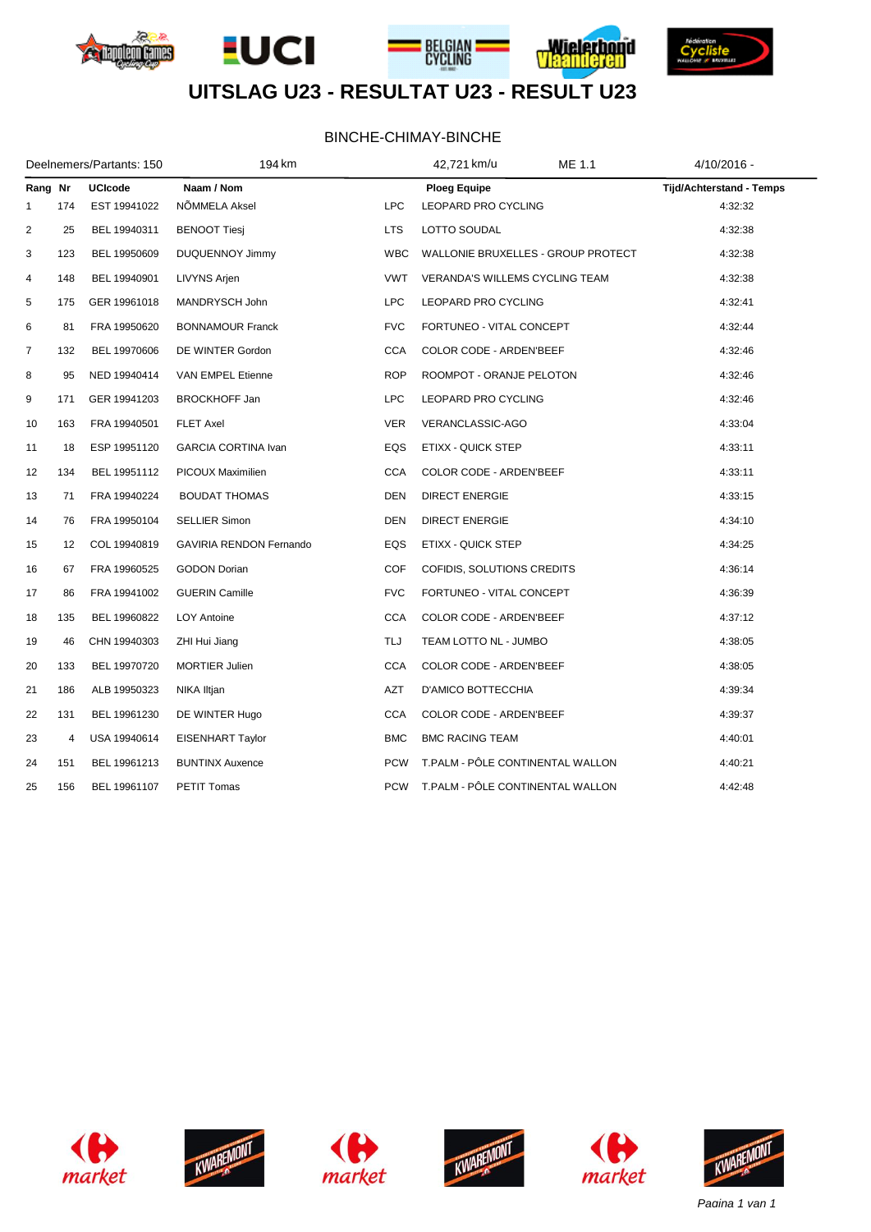







# **UITSLAG U23 - RESULTAT U23 - RESULT U23**

#### BINCHE-CHIMAY-BINCHE

| Deelnemers/Partants: 150 |     |                | 194 km                         |            | ME 1.1<br>42,721 km/u                 | 4/10/2016 -                     |
|--------------------------|-----|----------------|--------------------------------|------------|---------------------------------------|---------------------------------|
| Rang Nr                  |     | <b>UCIcode</b> | Naam / Nom                     |            | <b>Ploeg Equipe</b>                   | <b>Tijd/Achterstand - Temps</b> |
| 1                        | 174 | EST 19941022   | NÕMMELA Aksel                  | <b>LPC</b> | LEOPARD PRO CYCLING                   | 4:32:32                         |
| 2                        | 25  | BEL 19940311   | <b>BENOOT Tiesj</b>            | <b>LTS</b> | LOTTO SOUDAL                          | 4:32:38                         |
| 3                        | 123 | BEL 19950609   | <b>DUQUENNOY Jimmy</b>         | <b>WBC</b> | WALLONIE BRUXELLES - GROUP PROTECT    | 4:32:38                         |
| 4                        | 148 | BEL 19940901   | LIVYNS Arjen                   | <b>VWT</b> | <b>VERANDA'S WILLEMS CYCLING TEAM</b> | 4:32:38                         |
| 5                        | 175 | GER 19961018   | MANDRYSCH John                 | <b>LPC</b> | LEOPARD PRO CYCLING                   | 4:32:41                         |
| 6                        | 81  | FRA 19950620   | <b>BONNAMOUR Franck</b>        | <b>FVC</b> | FORTUNEO - VITAL CONCEPT              | 4:32:44                         |
| 7                        | 132 | BEL 19970606   | DE WINTER Gordon               | <b>CCA</b> | COLOR CODE - ARDEN'BEEF               | 4:32:46                         |
| 8                        | 95  | NED 19940414   | VAN EMPEL Etienne              | <b>ROP</b> | ROOMPOT - ORANJE PELOTON              | 4:32:46                         |
| 9                        | 171 | GER 19941203   | <b>BROCKHOFF Jan</b>           | <b>LPC</b> | LEOPARD PRO CYCLING                   | 4:32:46                         |
| 10                       | 163 | FRA 19940501   | <b>FLET Axel</b>               | <b>VER</b> | VERANCLASSIC-AGO                      | 4:33:04                         |
| 11                       | 18  | ESP 19951120   | <b>GARCIA CORTINA Ivan</b>     | EQS        | ETIXX - QUICK STEP                    | 4:33:11                         |
| 12                       | 134 | BEL 19951112   | PICOUX Maximilien              | <b>CCA</b> | COLOR CODE - ARDEN'BEEF               | 4:33:11                         |
| 13                       | 71  | FRA 19940224   | <b>BOUDAT THOMAS</b>           | <b>DEN</b> | <b>DIRECT ENERGIE</b>                 | 4:33:15                         |
| 14                       | 76  | FRA 19950104   | <b>SELLIER Simon</b>           | <b>DEN</b> | <b>DIRECT ENERGIE</b>                 | 4:34:10                         |
| 15                       | 12  | COL 19940819   | <b>GAVIRIA RENDON Fernando</b> | EQS        | ETIXX - QUICK STEP                    | 4:34:25                         |
| 16                       | 67  | FRA 19960525   | <b>GODON Dorian</b>            | <b>COF</b> | COFIDIS, SOLUTIONS CREDITS            | 4:36:14                         |
| 17                       | 86  | FRA 19941002   | <b>GUERIN Camille</b>          | <b>FVC</b> | FORTUNEO - VITAL CONCEPT              | 4:36:39                         |
| 18                       | 135 | BEL 19960822   | <b>LOY Antoine</b>             | <b>CCA</b> | COLOR CODE - ARDEN'BEEF               | 4:37:12                         |
| 19                       | 46  | CHN 19940303   | ZHI Hui Jiang                  | TLJ        | TEAM LOTTO NL - JUMBO                 | 4:38:05                         |
| 20                       | 133 | BEL 19970720   | <b>MORTIER Julien</b>          | <b>CCA</b> | COLOR CODE - ARDEN'BEEF               | 4:38:05                         |
| 21                       | 186 | ALB 19950323   | NIKA Iltjan                    | AZT        | D'AMICO BOTTECCHIA                    | 4:39:34                         |
| 22                       | 131 | BEL 19961230   | DE WINTER Hugo                 | <b>CCA</b> | COLOR CODE - ARDEN'BEEF               | 4:39:37                         |
| 23                       | 4   | USA 19940614   | <b>EISENHART Taylor</b>        | <b>BMC</b> | <b>BMC RACING TEAM</b>                | 4:40:01                         |
| 24                       | 151 | BEL 19961213   | <b>BUNTINX Auxence</b>         | <b>PCW</b> | T.PALM - PÔLE CONTINENTAL WALLON      | 4:40:21                         |
| 25                       | 156 | BEL 19961107   | <b>PETIT Tomas</b>             | <b>PCW</b> | T.PALM - PÔLE CONTINENTAL WALLON      | 4:42:48                         |













*Pagina 1 van 1*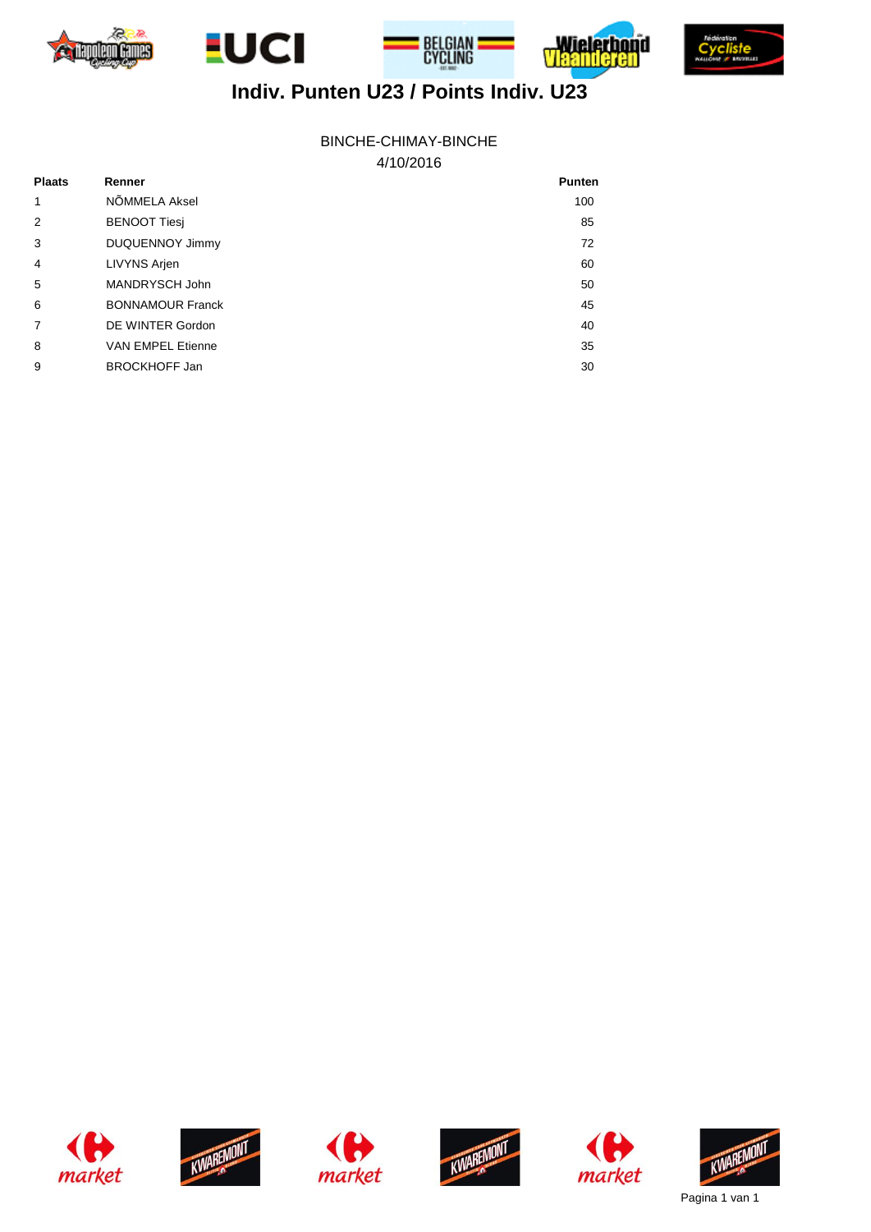





honid



# **Indiv. Punten U23 / Points Indiv. U23**

#### 4/10/2016 BINCHE-CHIMAY-BINCHE

| <b>Plaats</b>  | Renner                   | <b>Punten</b> |
|----------------|--------------------------|---------------|
| 1              | NÕMMELA Aksel            | 100           |
| 2              | <b>BENOOT Tiesi</b>      | 85            |
| 3              | <b>DUQUENNOY Jimmy</b>   | 72            |
| $\overline{4}$ | LIVYNS Arjen             | 60            |
| 5              | MANDRYSCH John           | 50            |
| 6              | <b>BONNAMOUR Franck</b>  | 45            |
| $\overline{7}$ | DE WINTER Gordon         | 40            |
| 8              | <b>VAN EMPEL Etienne</b> | 35            |
| 9              | <b>BROCKHOFF Jan</b>     | 30            |













Pagina 1 van 1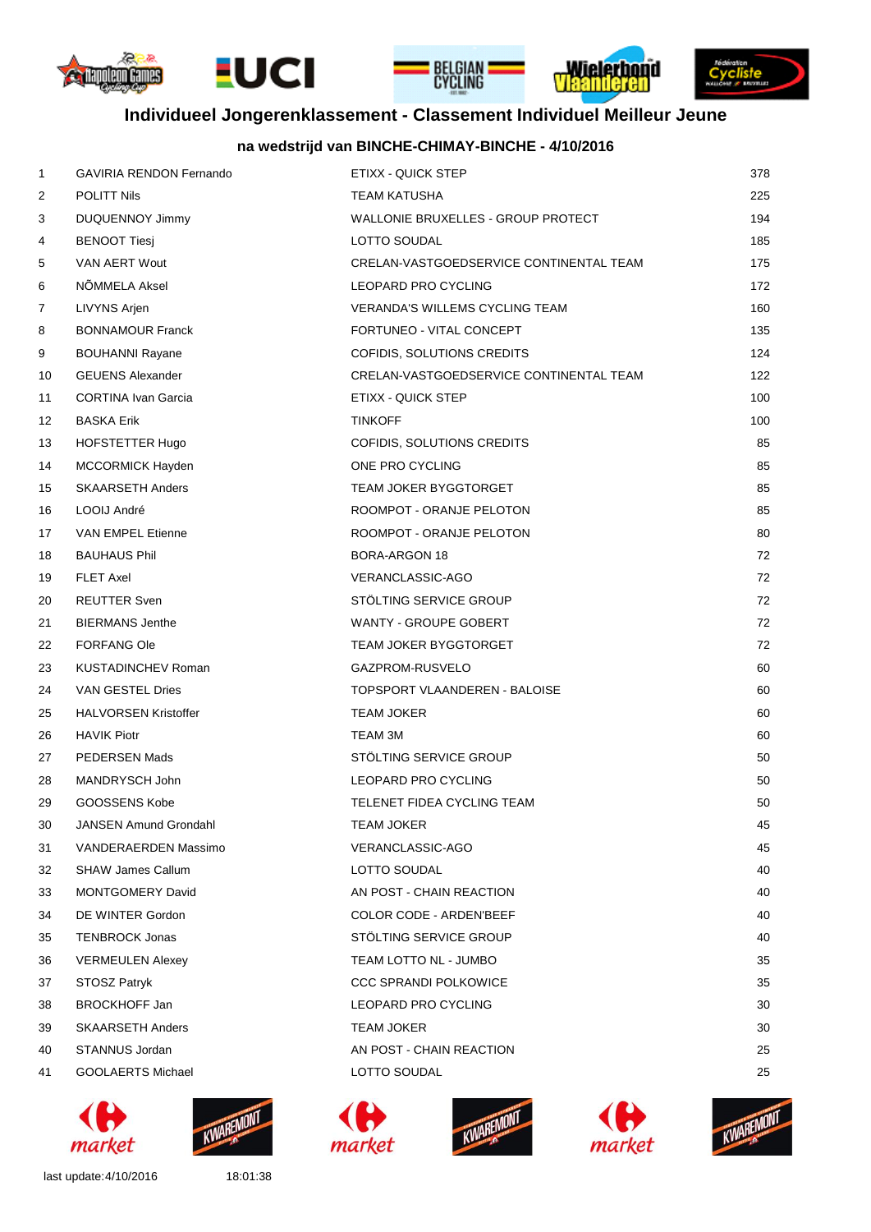









KWAREMONT

market

# **Individueel Jongerenklassement - Classement Individuel Meilleur Jeune**

#### **na wedstrijd van BINCHE-CHIMAY-BINCHE - 4/10/2016**

| 1  | <b>GAVIRIA RENDON Fernando</b> | ETIXX - QUICK STEP                      | 378 |
|----|--------------------------------|-----------------------------------------|-----|
| 2  | <b>POLITT Nils</b>             | TEAM KATUSHA                            | 225 |
| 3  | <b>DUQUENNOY Jimmy</b>         | WALLONIE BRUXELLES - GROUP PROTECT      | 194 |
| 4  | <b>BENOOT Tiesj</b>            | LOTTO SOUDAL                            | 185 |
| 5  | VAN AERT Wout                  | CRELAN-VASTGOEDSERVICE CONTINENTAL TEAM | 175 |
| 6  | NÕMMELA Aksel                  | LEOPARD PRO CYCLING                     | 172 |
| 7  | LIVYNS Arjen                   | <b>VERANDA'S WILLEMS CYCLING TEAM</b>   | 160 |
| 8  | <b>BONNAMOUR Franck</b>        | FORTUNEO - VITAL CONCEPT                | 135 |
| 9  | <b>BOUHANNI Rayane</b>         | COFIDIS, SOLUTIONS CREDITS              | 124 |
| 10 | <b>GEUENS Alexander</b>        | CRELAN-VASTGOEDSERVICE CONTINENTAL TEAM | 122 |
| 11 | <b>CORTINA Ivan Garcia</b>     | ETIXX - QUICK STEP                      | 100 |
| 12 | <b>BASKA Erik</b>              | <b>TINKOFF</b>                          | 100 |
| 13 | HOFSTETTER Hugo                | COFIDIS, SOLUTIONS CREDITS              | 85  |
| 14 | <b>MCCORMICK Hayden</b>        | ONE PRO CYCLING                         | 85  |
| 15 | <b>SKAARSETH Anders</b>        | TEAM JOKER BYGGTORGET                   | 85  |
| 16 | LOOIJ André                    | ROOMPOT - ORANJE PELOTON                | 85  |
| 17 | <b>VAN EMPEL Etienne</b>       | ROOMPOT - ORANJE PELOTON                | 80  |
| 18 | <b>BAUHAUS Phil</b>            | <b>BORA-ARGON 18</b>                    | 72  |
| 19 | <b>FLET Axel</b>               | VERANCLASSIC-AGO                        | 72  |
| 20 | <b>REUTTER Sven</b>            | STOLTING SERVICE GROUP                  | 72  |
| 21 | <b>BIERMANS Jenthe</b>         | WANTY - GROUPE GOBERT                   | 72  |
| 22 | <b>FORFANG Ole</b>             | <b>TEAM JOKER BYGGTORGET</b>            | 72  |
| 23 | <b>KUSTADINCHEV Roman</b>      | GAZPROM-RUSVELO                         | 60  |
| 24 | VAN GESTEL Dries               | TOPSPORT VLAANDEREN - BALOISE           | 60  |
| 25 | <b>HALVORSEN Kristoffer</b>    | <b>TEAM JOKER</b>                       | 60  |
| 26 | <b>HAVIK Piotr</b>             | <b>TEAM 3M</b>                          | 60  |
| 27 | PEDERSEN Mads                  | STOLTING SERVICE GROUP                  | 50  |
| 28 | MANDRYSCH John                 | LEOPARD PRO CYCLING                     | 50  |
| 29 | GOOSSENS Kobe                  | TELENET FIDEA CYCLING TEAM              | 50  |
| 30 | <b>JANSEN Amund Grondahl</b>   | TEAM JOKER                              | 45  |
| 31 | VANDERAERDEN Massimo           | <b>VERANCLASSIC-AGO</b>                 | 45  |
| 32 | <b>SHAW James Callum</b>       | LOTTO SOUDAL                            | 40  |
| 33 | <b>MONTGOMERY David</b>        | AN POST - CHAIN REACTION                | 40  |
| 34 | DE WINTER Gordon               | <b>COLOR CODE - ARDEN'BEEF</b>          | 40  |
| 35 | <b>TENBROCK Jonas</b>          | STOLTING SERVICE GROUP                  | 40  |
| 36 | <b>VERMEULEN Alexey</b>        | TEAM LOTTO NL - JUMBO                   | 35  |
| 37 | <b>STOSZ Patryk</b>            | <b>CCC SPRANDI POLKOWICE</b>            | 35  |
| 38 | <b>BROCKHOFF Jan</b>           | LEOPARD PRO CYCLING                     | 30  |
| 39 | <b>SKAARSETH Anders</b>        | TEAM JOKER                              | 30  |
| 40 | STANNUS Jordan                 | AN POST - CHAIN REACTION                | 25  |
| 41 | GOOLAERTS Michael              | LOTTO SOUDAL                            | 25  |

KWAREMONT





last update:4/10/2016 18:01:38

market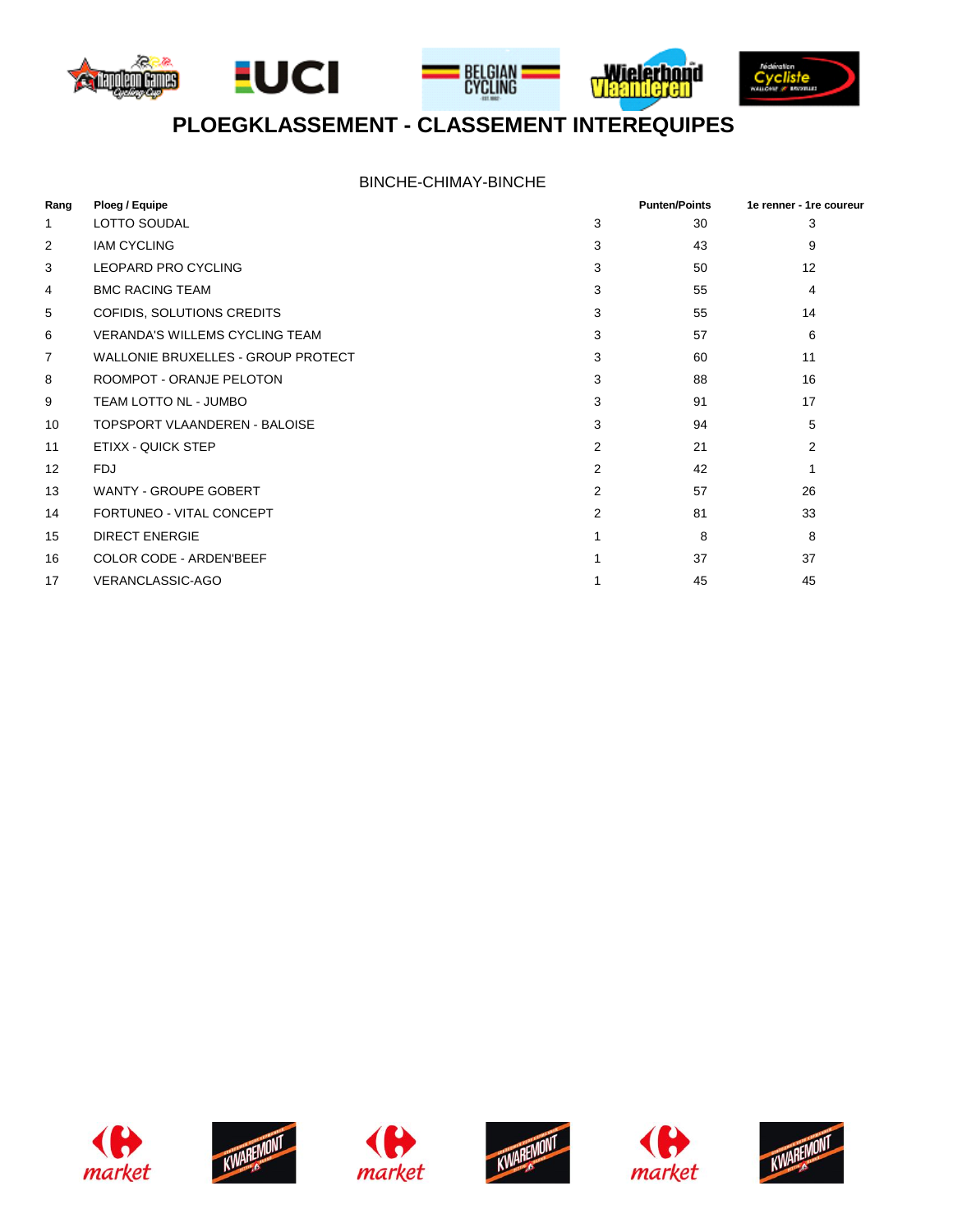







# **PLOEGKLASSEMENT - CLASSEMENT INTEREQUIPES**

| Rang           | Ploeg / Equipe                        |                | <b>Punten/Points</b> | 1e renner - 1re coureur |
|----------------|---------------------------------------|----------------|----------------------|-------------------------|
| 1              | <b>LOTTO SOUDAL</b>                   | 3              | 30                   | 3                       |
| 2              | <b>IAM CYCLING</b>                    | 3              | 43                   | 9                       |
| 3              | <b>LEOPARD PRO CYCLING</b>            | 3              | 50                   | 12                      |
| 4              | <b>BMC RACING TEAM</b>                | 3              | 55                   | 4                       |
| 5              | COFIDIS, SOLUTIONS CREDITS            | 3              | 55                   | 14                      |
| 6              | <b>VERANDA'S WILLEMS CYCLING TEAM</b> | 3              | 57                   | 6                       |
| $\overline{7}$ | WALLONIE BRUXELLES - GROUP PROTECT    | 3              | 60                   | 11                      |
| 8              | ROOMPOT - ORANJE PELOTON              | 3              | 88                   | 16                      |
| 9              | TEAM LOTTO NL - JUMBO                 | 3              | 91                   | 17                      |
| 10             | <b>TOPSPORT VLAANDEREN - BALOISE</b>  | 3              | 94                   | 5                       |
| 11             | ETIXX - QUICK STEP                    | 2              | 21                   | $\overline{2}$          |
| 12             | <b>FDJ</b>                            | $\overline{2}$ | 42                   |                         |
| 13             | <b>WANTY - GROUPE GOBERT</b>          | 2              | 57                   | 26                      |
| 14             | FORTUNEO - VITAL CONCEPT              | 2              | 81                   | 33                      |
| 15             | <b>DIRECT ENERGIE</b>                 |                | 8                    | 8                       |
| 16             | <b>COLOR CODE - ARDEN'BEEF</b>        |                | 37                   | 37                      |
| 17             | VERANCLASSIC-AGO                      |                | 45                   | 45                      |











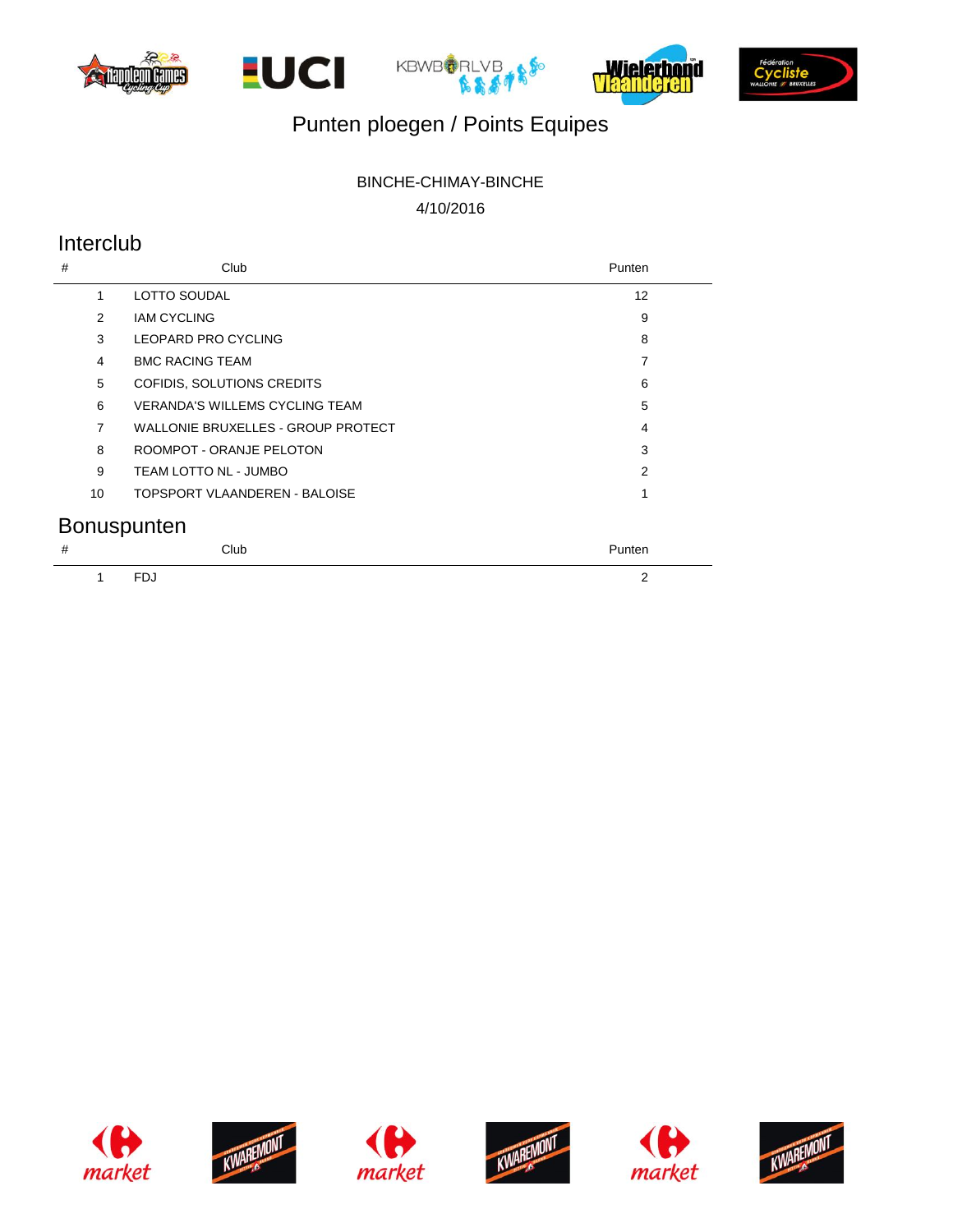









# Punten ploegen / Points Equipes

# BINCHE-CHIMAY-BINCHE

4/10/2016

# Interclub

| #              | Club                                  | Punten            |
|----------------|---------------------------------------|-------------------|
| 1              | <b>LOTTO SOUDAL</b>                   | $12 \overline{ }$ |
| $\mathfrak{p}$ | <b>IAM CYCLING</b>                    | 9                 |
| 3              | LEOPARD PRO CYCLING                   | 8                 |
| 4              | <b>BMC RACING TEAM</b>                | $\overline{7}$    |
| 5              | COFIDIS, SOLUTIONS CREDITS            | 6                 |
| 6              | <b>VERANDA'S WILLEMS CYCLING TEAM</b> | 5                 |
| 7              | WALLONIE BRUXELLES - GROUP PROTECT    | 4                 |
| 8              | ROOMPOT - ORANJE PELOTON              | 3                 |
| 9              | TEAM LOTTO NL - JUMBO                 | $\mathfrak{p}$    |
| 10             | TOPSPORT VLAANDEREN - BALOISE         | 1                 |
|                | <b>Bonuspunten</b>                    |                   |
| #              | Club                                  | Punten            |
|                | <b>FDJ</b>                            | 2                 |











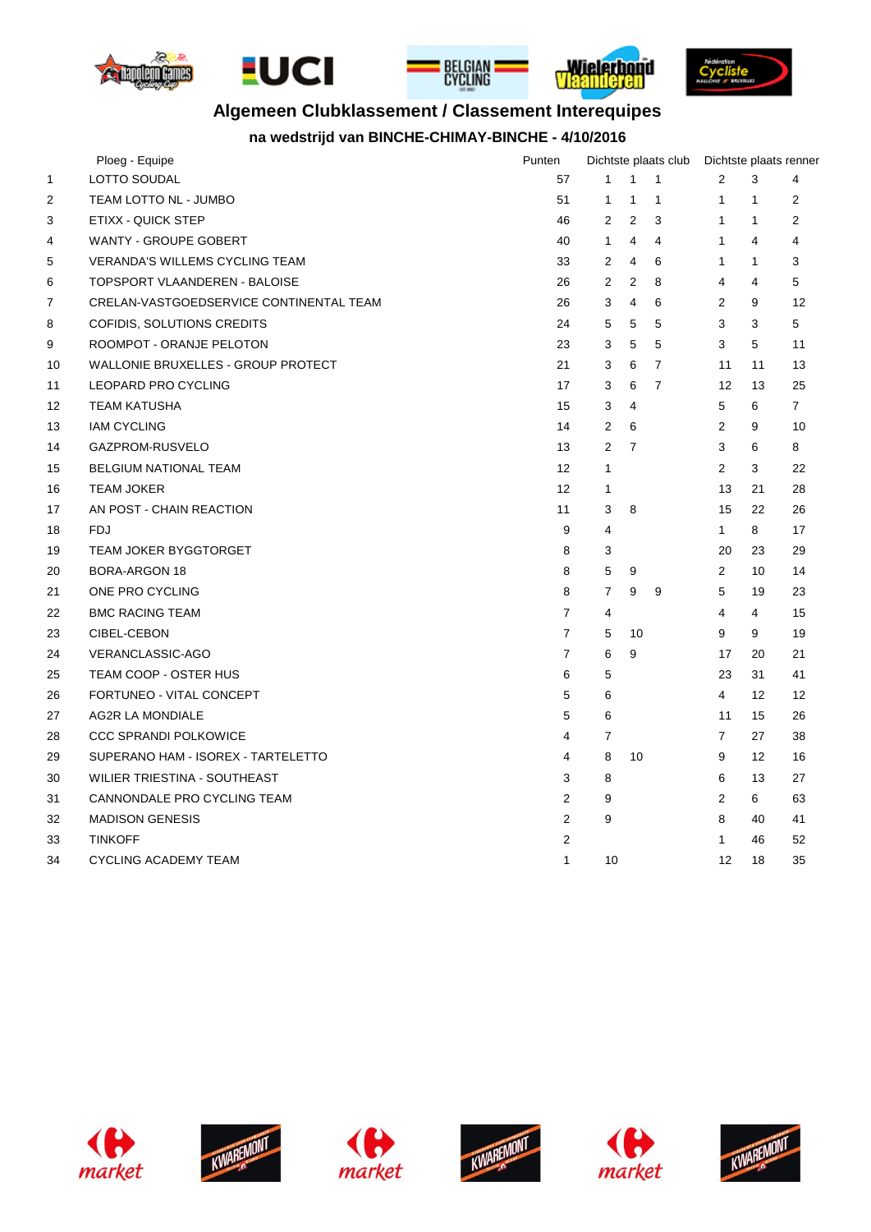









# **Algemeen Clubklassement / Classement Interequipes**

### **na wedstrijd van BINCHE-CHIMAY-BINCHE - 4/10/2016**

|                   | Ploeg - Equipe                          | Punten            | Dichtste plaats club |                |                | Dichtste plaats renner |                   |                |
|-------------------|-----------------------------------------|-------------------|----------------------|----------------|----------------|------------------------|-------------------|----------------|
| 1                 | LOTTO SOUDAL                            | 57                | 1                    | $\mathbf{1}$   | 1              | 2                      | 3                 | 4              |
| 2                 | TEAM LOTTO NL - JUMBO                   | 51                | $\mathbf 1$          | $\mathbf{1}$   | 1              | $\mathbf{1}$           | $\mathbf{1}$      | 2              |
| 3                 | ETIXX - QUICK STEP                      | 46                | 2                    | $\overline{2}$ | 3              | $\mathbf{1}$           | $\mathbf{1}$      | $\overline{2}$ |
| 4                 | WANTY - GROUPE GOBERT                   | 40                | $\mathbf{1}$         | 4              | 4              | 1                      | $\overline{4}$    | 4              |
| 5                 | <b>VERANDA'S WILLEMS CYCLING TEAM</b>   | 33                | $\overline{2}$       | 4              | 6              | $\mathbf{1}$           | $\mathbf{1}$      | 3              |
| 6                 | TOPSPORT VLAANDEREN - BALOISE           | 26                | 2                    | $\overline{2}$ | 8              | 4                      | $\overline{4}$    | 5              |
| 7                 | CRELAN-VASTGOEDSERVICE CONTINENTAL TEAM | 26                | 3                    | 4              | 6              | $\overline{2}$         | 9                 | 12             |
| 8                 | COFIDIS, SOLUTIONS CREDITS              | 24                | 5                    | 5              | 5              | 3                      | 3                 | 5              |
| 9                 | ROOMPOT - ORANJE PELOTON                | 23                | 3                    | 5              | 5              | 3                      | 5                 | 11             |
| 10                | WALLONIE BRUXELLES - GROUP PROTECT      | 21                | 3                    | 6              | $\overline{7}$ | 11                     | 11                | 13             |
| 11                | LEOPARD PRO CYCLING                     | 17                | 3                    | 6              | $\overline{7}$ | 12                     | 13                | 25             |
| $12 \overline{ }$ | <b>TEAM KATUSHA</b>                     | 15                | 3                    | $\overline{4}$ |                | 5                      | 6                 | $\overline{7}$ |
| 13                | <b>IAM CYCLING</b>                      | 14                | 2                    | 6              |                | $\overline{2}$         | 9                 | 10             |
| 14                | GAZPROM-RUSVELO                         | 13                | $\overline{2}$       | $\overline{7}$ |                | 3                      | 6                 | 8              |
| 15                | <b>BELGIUM NATIONAL TEAM</b>            | 12                | $\mathbf{1}$         |                |                | $\overline{2}$         | 3                 | 22             |
| 16                | <b>TEAM JOKER</b>                       | $12 \overline{ }$ | 1                    |                |                | 13                     | 21                | 28             |
| 17                | AN POST - CHAIN REACTION                | 11                | 3                    | 8              |                | 15                     | 22                | 26             |
| 18                | <b>FDJ</b>                              | 9                 | 4                    |                |                | $\mathbf{1}$           | 8                 | 17             |
| 19                | <b>TEAM JOKER BYGGTORGET</b>            | 8                 | 3                    |                |                | 20                     | 23                | 29             |
| 20                | <b>BORA-ARGON 18</b>                    | 8                 | 5                    | 9              |                | $\overline{2}$         | 10                | 14             |
| 21                | ONE PRO CYCLING                         | 8                 | $\overline{7}$       | 9              | 9              | 5                      | 19                | 23             |
| 22                | <b>BMC RACING TEAM</b>                  | 7                 | 4                    |                |                | 4                      | 4                 | 15             |
| 23                | CIBEL-CEBON                             | $\overline{7}$    | 5                    | 10             |                | 9                      | 9                 | 19             |
| 24                | VERANCLASSIC-AGO                        | $\overline{7}$    | 6                    | 9              |                | 17                     | 20                | 21             |
| 25                | TEAM COOP - OSTER HUS                   | 6                 | 5                    |                |                | 23                     | 31                | 41             |
| 26                | FORTUNEO - VITAL CONCEPT                | 5                 | 6                    |                |                | 4                      | $12 \overline{ }$ | 12             |
| 27                | <b>AG2R LA MONDIALE</b>                 | 5                 | 6                    |                |                | 11                     | 15                | 26             |
| 28                | <b>CCC SPRANDI POLKOWICE</b>            | 4                 | $\overline{7}$       |                |                | $\overline{7}$         | 27                | 38             |
| 29                | SUPERANO HAM - ISOREX - TARTELETTO      | 4                 | 8                    | 10             |                | 9                      | 12                | 16             |
| 30                | WILIER TRIESTINA - SOUTHEAST            | 3                 | 8                    |                |                | 6                      | 13                | 27             |
| 31                | CANNONDALE PRO CYCLING TEAM             | $\overline{2}$    | 9                    |                |                | $\overline{2}$         | 6                 | 63             |
| 32                | <b>MADISON GENESIS</b>                  | 2                 | 9                    |                |                | 8                      | 40                | 41             |
| 33                | <b>TINKOFF</b>                          | 2                 |                      |                |                | 1                      | 46                | 52             |
| 34                | <b>CYCLING ACADEMY TEAM</b>             | $\mathbf{1}$      | 10                   |                |                | 12                     | 18                | 35             |











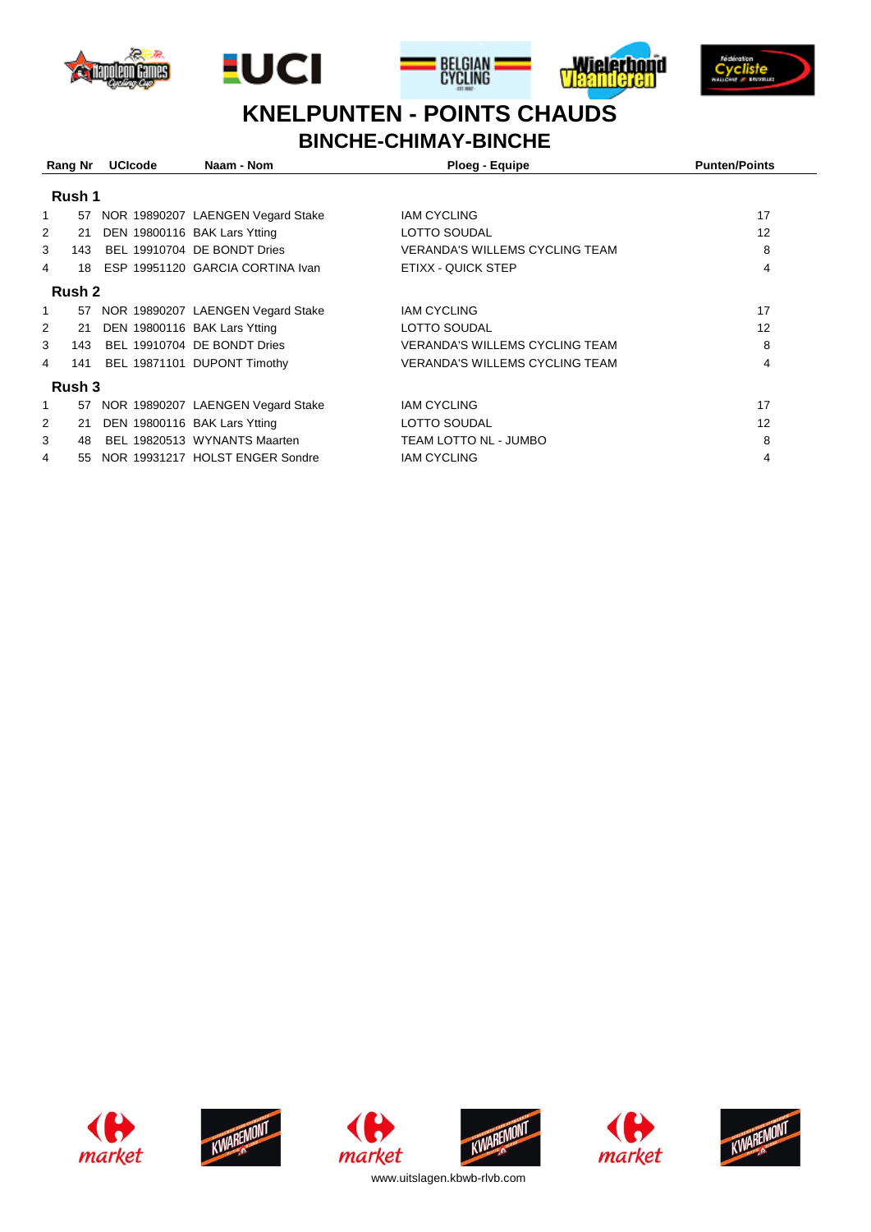









# **BINCHE-CHIMAY-BINCHE KNELPUNTEN - POINTS CHAUDS**

|                | Rang Nr | <b>UCIcode</b> | Naam - Nom<br>Ploeg - Equipe         |                                       | <b>Punten/Points</b> |  |  |  |  |
|----------------|---------|----------------|--------------------------------------|---------------------------------------|----------------------|--|--|--|--|
| Rush 1         |         |                |                                      |                                       |                      |  |  |  |  |
| 1              | 57      |                | NOR 19890207 LAENGEN Vegard Stake    | <b>IAM CYCLING</b>                    | 17                   |  |  |  |  |
| 2              | 21      |                | DEN 19800116 BAK Lars Ytting         | LOTTO SOUDAL                          | 12                   |  |  |  |  |
| 3              | 143     |                | BEL 19910704 DE BONDT Dries          | <b>VERANDA'S WILLEMS CYCLING TEAM</b> | 8                    |  |  |  |  |
| 4              | 18      |                | ESP 19951120 GARCIA CORTINA Ivan     | ETIXX - QUICK STEP                    | 4                    |  |  |  |  |
|                | Rush 2  |                |                                      |                                       |                      |  |  |  |  |
| 1              |         |                | 57 NOR 19890207 LAENGEN Vegard Stake | <b>IAM CYCLING</b>                    | 17                   |  |  |  |  |
| $\overline{2}$ | 21      |                | DEN 19800116 BAK Lars Ytting         | LOTTO SOUDAL                          | 12                   |  |  |  |  |
| 3              | 143     |                | BEL 19910704 DE BONDT Dries          | <b>VERANDA'S WILLEMS CYCLING TEAM</b> | 8                    |  |  |  |  |
| 4              | 141     |                | BEL 19871101 DUPONT Timothy          | <b>VERANDA'S WILLEMS CYCLING TEAM</b> | 4                    |  |  |  |  |
| Rush 3         |         |                |                                      |                                       |                      |  |  |  |  |
| 1              | 57      |                | NOR 19890207 LAENGEN Vegard Stake    | <b>IAM CYCLING</b>                    | 17                   |  |  |  |  |
| $\overline{2}$ | 21      |                | DEN 19800116 BAK Lars Ytting         | LOTTO SOUDAL                          | 12                   |  |  |  |  |
| 3              | 48      |                | BEL 19820513 WYNANTS Maarten         | TEAM LOTTO NL - JUMBO                 | 8                    |  |  |  |  |
| 4              | 55      |                | NOR 19931217 HOLST ENGER Sondre      | <b>IAM CYCLING</b>                    | 4                    |  |  |  |  |













www.uitslagen.kbwb-rlvb.com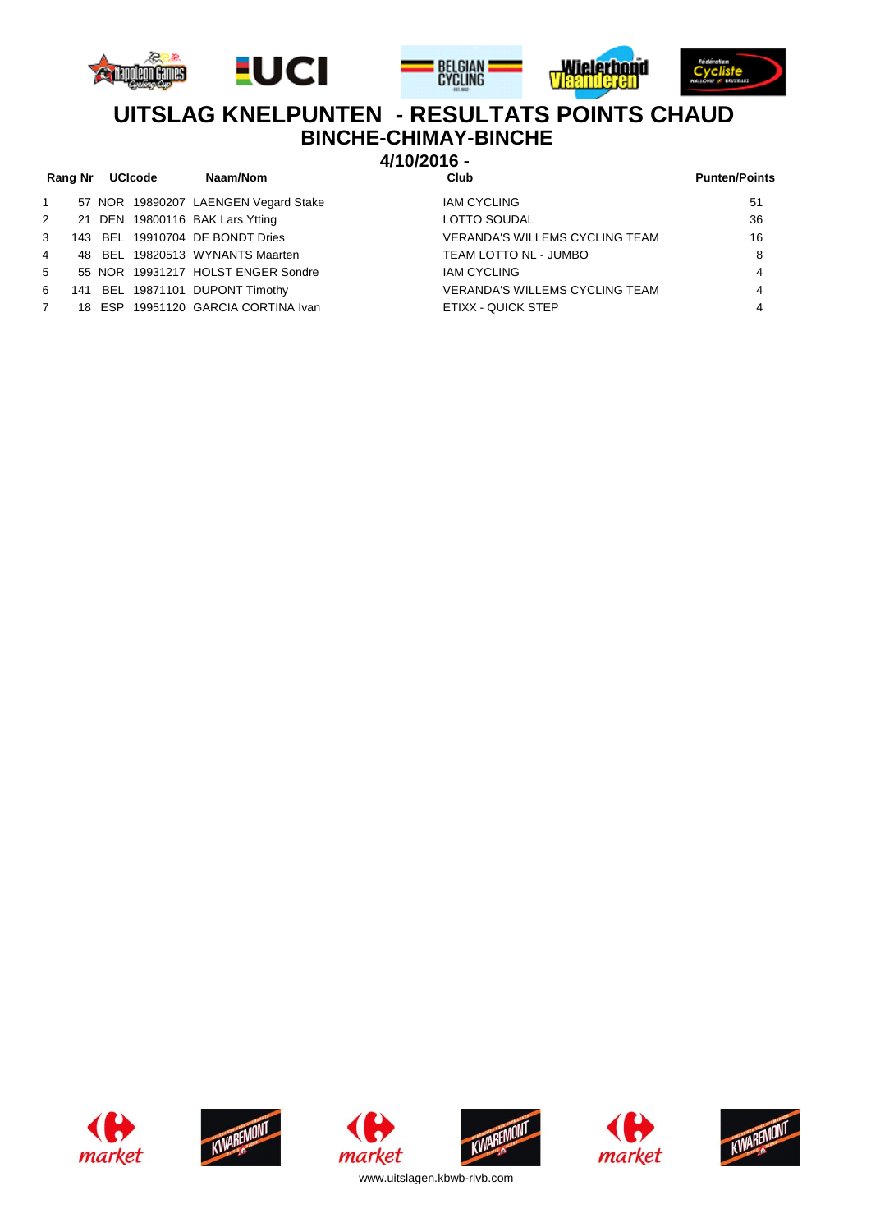









# **BINCHE-CHIMAY-BINCHE UITSLAG KNELPUNTEN - RESULTATS POINTS CHAUD**

**4/10/2016 -** 

| Rang Nr        | <b>UCIcode</b> | Naam/Nom                             | Club                                  | <b>Punten/Points</b> |
|----------------|----------------|--------------------------------------|---------------------------------------|----------------------|
| $\mathbf{1}$   |                | 57 NOR 19890207 LAENGEN Vegard Stake | <b>IAM CYCLING</b>                    | 51                   |
| 2              |                | 21 DEN 19800116 BAK Lars Ytting      | <b>LOTTO SOUDAL</b>                   | 36                   |
| 3              |                | 143 BEL 19910704 DE BONDT Dries      | <b>VERANDA'S WILLEMS CYCLING TEAM</b> | 16                   |
| $\overline{4}$ |                | 48 BEL 19820513 WYNANTS Maarten      | TEAM LOTTO NL - JUMBO                 | 8                    |
| $5^{\circ}$    |                | 55 NOR 19931217 HOLST ENGER Sondre   | <b>IAM CYCLING</b>                    | 4                    |
| 6              |                | 141 BEL 19871101 DUPONT Timothy      | <b>VERANDA'S WILLEMS CYCLING TEAM</b> | 4                    |
|                |                | 18 ESP 19951120 GARCIA CORTINA Ivan  | ETIXX - QUICK STEP                    | 4                    |
|                |                |                                      |                                       |                      |









market